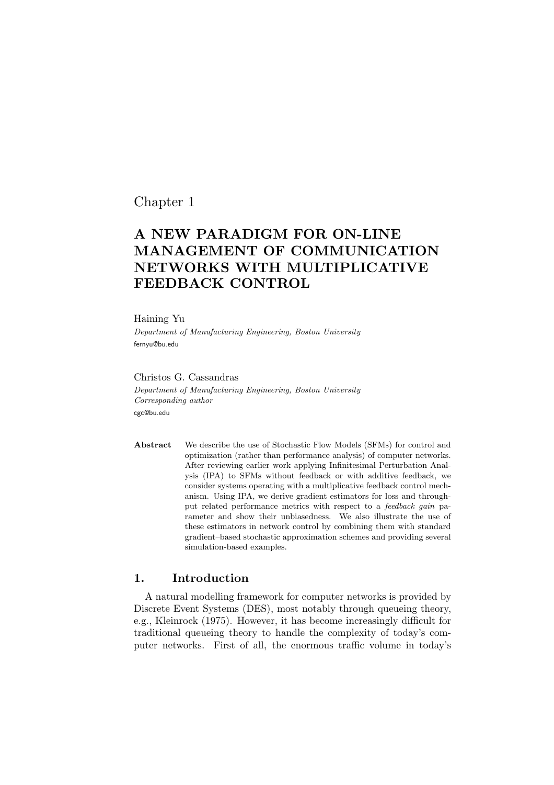# Chapter 1

# A NEW PARADIGM FOR ON-LINE MANAGEMENT OF COMMUNICATION NETWORKS WITH MULTIPLICATIVE FEEDBACK CONTROL

Haining Yu Department of Manufacturing Engineering, Boston University fernyu@bu.edu

#### Christos G. Cassandras

Department of Manufacturing Engineering, Boston University Corresponding author cgc@bu.edu

Abstract We describe the use of Stochastic Flow Models (SFMs) for control and optimization (rather than performance analysis) of computer networks. After reviewing earlier work applying Infinitesimal Perturbation Analysis (IPA) to SFMs without feedback or with additive feedback, we consider systems operating with a multiplicative feedback control mechanism. Using IPA, we derive gradient estimators for loss and throughput related performance metrics with respect to a feedback gain parameter and show their unbiasedness. We also illustrate the use of these estimators in network control by combining them with standard gradient–based stochastic approximation schemes and providing several simulation-based examples.

# 1. Introduction

A natural modelling framework for computer networks is provided by Discrete Event Systems (DES), most notably through queueing theory, e.g., Kleinrock (1975). However, it has become increasingly difficult for traditional queueing theory to handle the complexity of today's computer networks. First of all, the enormous traffic volume in today's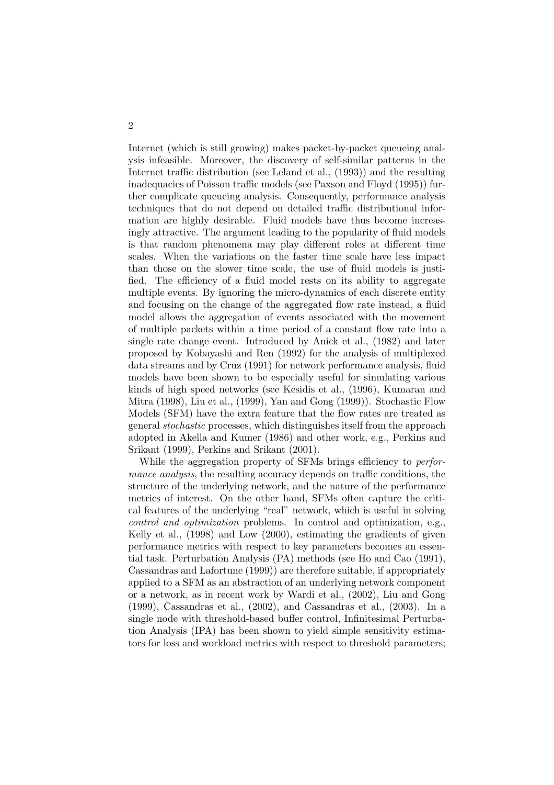Internet (which is still growing) makes packet-by-packet queueing analysis infeasible. Moreover, the discovery of self-similar patterns in the Internet traffic distribution (see Leland et al., (1993)) and the resulting inadequacies of Poisson traffic models (see Paxson and Floyd (1995)) further complicate queueing analysis. Consequently, performance analysis techniques that do not depend on detailed traffic distributional information are highly desirable. Fluid models have thus become increasingly attractive. The argument leading to the popularity of fluid models is that random phenomena may play different roles at different time scales. When the variations on the faster time scale have less impact than those on the slower time scale, the use of fluid models is justified. The efficiency of a fluid model rests on its ability to aggregate multiple events. By ignoring the micro-dynamics of each discrete entity and focusing on the change of the aggregated flow rate instead, a fluid model allows the aggregation of events associated with the movement of multiple packets within a time period of a constant flow rate into a single rate change event. Introduced by Anick et al., (1982) and later proposed by Kobayashi and Ren (1992) for the analysis of multiplexed data streams and by Cruz (1991) for network performance analysis, fluid models have been shown to be especially useful for simulating various kinds of high speed networks (see Kesidis et al., (1996), Kumaran and Mitra (1998), Liu et al., (1999), Yan and Gong (1999)). Stochastic Flow Models (SFM) have the extra feature that the flow rates are treated as general stochastic processes, which distinguishes itself from the approach adopted in Akella and Kumer (1986) and other work, e.g., Perkins and Srikant (1999), Perkins and Srikant (2001).

While the aggregation property of SFMs brings efficiency to *perfor*mance analysis, the resulting accuracy depends on traffic conditions, the structure of the underlying network, and the nature of the performance metrics of interest. On the other hand, SFMs often capture the critical features of the underlying "real" network, which is useful in solving control and optimization problems. In control and optimization, e.g., Kelly et al., (1998) and Low (2000), estimating the gradients of given performance metrics with respect to key parameters becomes an essential task. Perturbation Analysis (PA) methods (see Ho and Cao (1991), Cassandras and Lafortune (1999)) are therefore suitable, if appropriately applied to a SFM as an abstraction of an underlying network component or a network, as in recent work by Wardi et al., (2002), Liu and Gong (1999), Cassandras et al., (2002), and Cassandras et al., (2003). In a single node with threshold-based buffer control, Infinitesimal Perturbation Analysis (IPA) has been shown to yield simple sensitivity estimators for loss and workload metrics with respect to threshold parameters;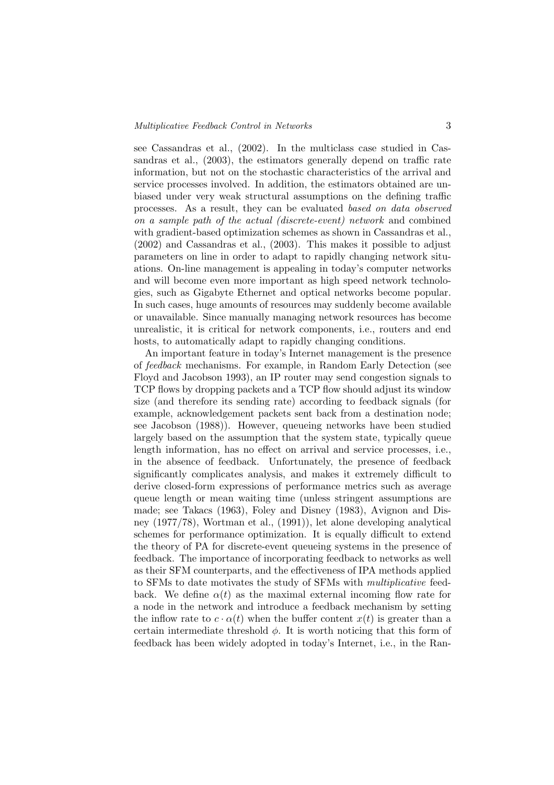see Cassandras et al., (2002). In the multiclass case studied in Cassandras et al., (2003), the estimators generally depend on traffic rate information, but not on the stochastic characteristics of the arrival and service processes involved. In addition, the estimators obtained are unbiased under very weak structural assumptions on the defining traffic processes. As a result, they can be evaluated based on data observed on a sample path of the actual (discrete-event) network and combined with gradient-based optimization schemes as shown in Cassandras et al., (2002) and Cassandras et al., (2003). This makes it possible to adjust parameters on line in order to adapt to rapidly changing network situations. On-line management is appealing in today's computer networks and will become even more important as high speed network technologies, such as Gigabyte Ethernet and optical networks become popular. In such cases, huge amounts of resources may suddenly become available or unavailable. Since manually managing network resources has become unrealistic, it is critical for network components, i.e., routers and end hosts, to automatically adapt to rapidly changing conditions.

An important feature in today's Internet management is the presence of feedback mechanisms. For example, in Random Early Detection (see Floyd and Jacobson 1993), an IP router may send congestion signals to TCP flows by dropping packets and a TCP flow should adjust its window size (and therefore its sending rate) according to feedback signals (for example, acknowledgement packets sent back from a destination node; see Jacobson (1988)). However, queueing networks have been studied largely based on the assumption that the system state, typically queue length information, has no effect on arrival and service processes, i.e., in the absence of feedback. Unfortunately, the presence of feedback significantly complicates analysis, and makes it extremely difficult to derive closed-form expressions of performance metrics such as average queue length or mean waiting time (unless stringent assumptions are made; see Takacs (1963), Foley and Disney (1983), Avignon and Disney (1977/78), Wortman et al., (1991)), let alone developing analytical schemes for performance optimization. It is equally difficult to extend the theory of PA for discrete-event queueing systems in the presence of feedback. The importance of incorporating feedback to networks as well as their SFM counterparts, and the effectiveness of IPA methods applied to SFMs to date motivates the study of SFMs with multiplicative feedback. We define  $\alpha(t)$  as the maximal external incoming flow rate for a node in the network and introduce a feedback mechanism by setting the inflow rate to  $c \cdot \alpha(t)$  when the buffer content  $x(t)$  is greater than a certain intermediate threshold  $\phi$ . It is worth noticing that this form of feedback has been widely adopted in today's Internet, i.e., in the Ran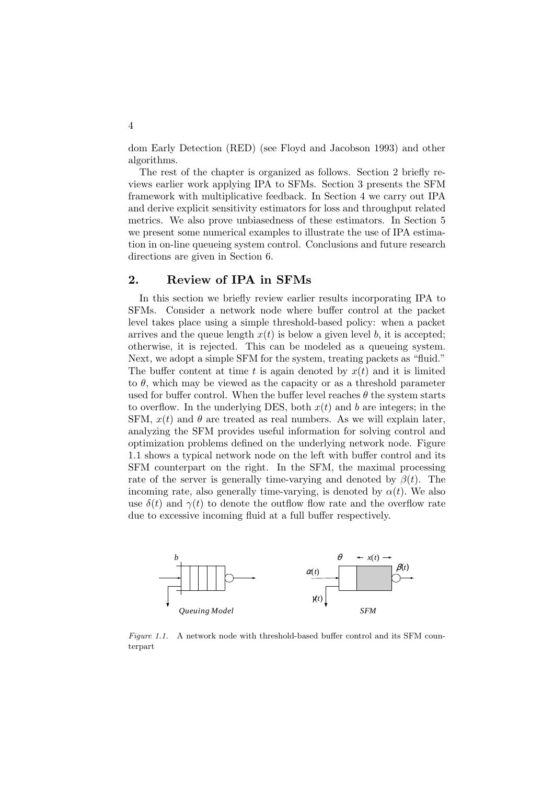dom Early Detection (RED) (see Floyd and Jacobson 1993) and other algorithms.

The rest of the chapter is organized as follows. Section 2 briefly reviews earlier work applying IPA to SFMs. Section 3 presents the SFM framework with multiplicative feedback. In Section 4 we carry out IPA and derive explicit sensitivity estimators for loss and throughput related metrics. We also prove unbiasedness of these estimators. In Section 5 we present some numerical examples to illustrate the use of IPA estimation in on-line queueing system control. Conclusions and future research directions are given in Section 6.

# 2. Review of IPA in SFMs

In this section we briefly review earlier results incorporating IPA to SFMs. Consider a network node where buffer control at the packet level takes place using a simple threshold-based policy: when a packet arrives and the queue length  $x(t)$  is below a given level b, it is accepted; otherwise, it is rejected. This can be modeled as a queueing system. Next, we adopt a simple SFM for the system, treating packets as "fluid." The buffer content at time t is again denoted by  $x(t)$  and it is limited to  $\theta$ , which may be viewed as the capacity or as a threshold parameter used for buffer control. When the buffer level reaches  $\theta$  the system starts to overflow. In the underlying DES, both  $x(t)$  and b are integers; in the SFM,  $x(t)$  and  $\theta$  are treated as real numbers. As we will explain later, analyzing the SFM provides useful information for solving control and optimization problems defined on the underlying network node. Figure 1.1 shows a typical network node on the left with buffer control and its SFM counterpart on the right. In the SFM, the maximal processing rate of the server is generally time-varying and denoted by  $\beta(t)$ . The incoming rate, also generally time-varying, is denoted by  $\alpha(t)$ . We also use  $\delta(t)$  and  $\gamma(t)$  to denote the outflow flow rate and the overflow rate due to excessive incoming fluid at a full buffer respectively.



Figure 1.1. A network node with threshold-based buffer control and its SFM counterpart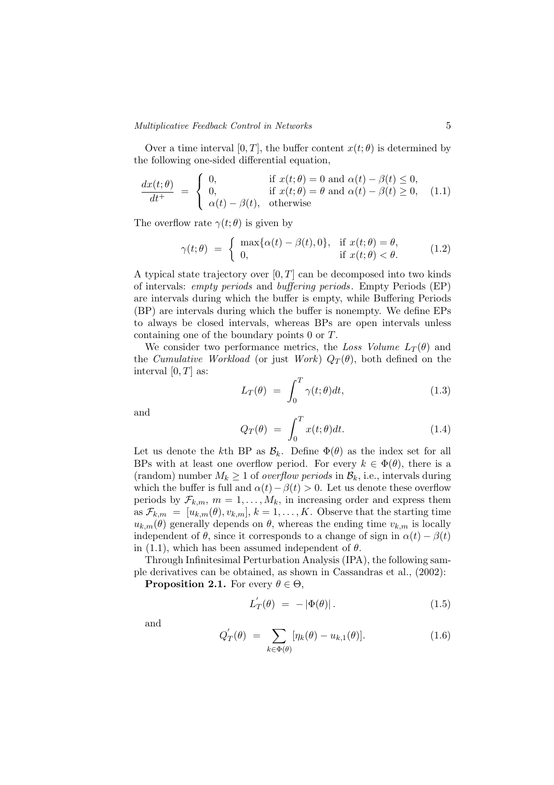Over a time interval [0, T], the buffer content  $x(t; \theta)$  is determined by the following one-sided differential equation,

$$
\frac{dx(t; \theta)}{dt^{+}} = \begin{cases} 0, & \text{if } x(t; \theta) = 0 \text{ and } \alpha(t) - \beta(t) \le 0, \\ 0, & \text{if } x(t; \theta) = \theta \text{ and } \alpha(t) - \beta(t) \ge 0, \\ \alpha(t) - \beta(t), & \text{otherwise} \end{cases}
$$
(1.1)

The overflow rate  $\gamma(t;\theta)$  is given by

$$
\gamma(t; \theta) = \begin{cases} \max\{\alpha(t) - \beta(t), 0\}, & \text{if } x(t; \theta) = \theta, \\ 0, & \text{if } x(t; \theta) < \theta. \end{cases}
$$
(1.2)

A typical state trajectory over  $[0, T]$  can be decomposed into two kinds of intervals: empty periods and buffering periods . Empty Periods (EP) are intervals during which the buffer is empty, while Buffering Periods (BP) are intervals during which the buffer is nonempty. We define EPs to always be closed intervals, whereas BPs are open intervals unless containing one of the boundary points 0 or T.

We consider two performance metrics, the Loss Volume  $L_T(\theta)$  and the Cumulative Workload (or just Work)  $Q_T(\theta)$ , both defined on the interval  $[0, T]$  as:

$$
L_T(\theta) = \int_0^T \gamma(t; \theta) dt,
$$
\n(1.3)

and

$$
Q_T(\theta) = \int_0^T x(t;\theta)dt.
$$
 (1.4)

Let us denote the kth BP as  $\mathcal{B}_k$ . Define  $\Phi(\theta)$  as the index set for all BPs with at least one overflow period. For every  $k \in \Phi(\theta)$ , there is a (random) number  $M_k \geq 1$  of *overflow periods* in  $\mathcal{B}_k$ , i.e., intervals during which the buffer is full and  $\alpha(t) - \beta(t) > 0$ . Let us denote these overflow periods by  $\mathcal{F}_{k,m}$ ,  $m = 1, \ldots, M_k$ , in increasing order and express them as  $\mathcal{F}_{k,m} = [u_{k,m}(\theta), v_{k,m}], k = 1, \ldots, K$ . Observe that the starting time  $u_{k,m}(\theta)$  generally depends on  $\theta$ , whereas the ending time  $v_{k,m}$  is locally independent of  $\theta$ , since it corresponds to a change of sign in  $\alpha(t) - \beta(t)$ in (1.1), which has been assumed independent of  $\theta$ .

Through Infinitesimal Perturbation Analysis (IPA), the following sample derivatives can be obtained, as shown in Cassandras et al., (2002): **Proposition 2.1.** For every  $\theta \in \Theta$ ,

$$
\mathcal{L}'(0) = \mathcal{L}(0)
$$

$$
L'_T(\theta) = -|\Phi(\theta)|. \tag{1.5}
$$

and

$$
Q'_{T}(\theta) = \sum_{k \in \Phi(\theta)} [\eta_k(\theta) - u_{k,1}(\theta)]. \qquad (1.6)
$$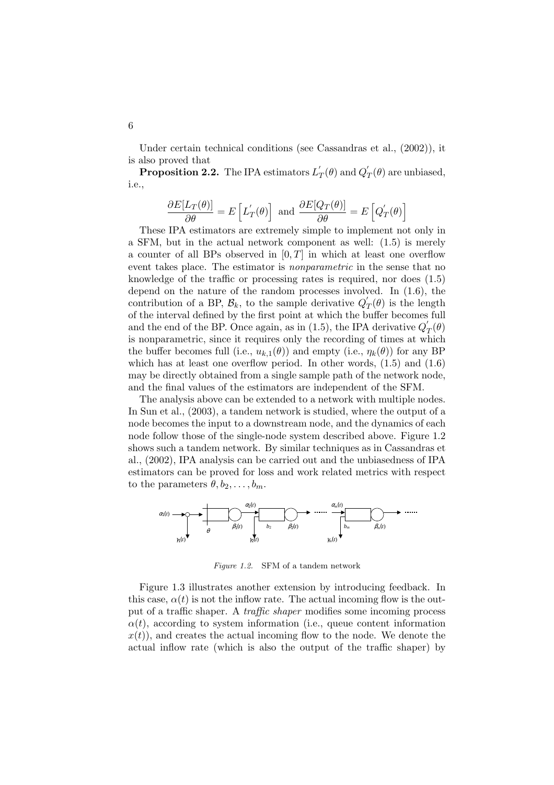Under certain technical conditions (see Cassandras et al., (2002)), it is also proved that

**Proposition 2.2.** The IPA estimators  $L'$  $\displaystyle{ \int_T'(\theta) \text{ and } Q_1'}$  $T(\theta)$  are unbiased, i.e.,

$$
\frac{\partial E[L_T(\theta)]}{\partial \theta} = E\left[L'_T(\theta)\right] \text{ and } \frac{\partial E[Q_T(\theta)]}{\partial \theta} = E\left[Q'_T(\theta)\right]
$$

These IPA estimators are extremely simple to implement not only in a SFM, but in the actual network component as well: (1.5) is merely a counter of all BPs observed in  $[0, T]$  in which at least one overflow event takes place. The estimator is nonparametric in the sense that no knowledge of the traffic or processing rates is required, nor does (1.5) depend on the nature of the random processes involved. In (1.6), the contribution of a BP,  $\mathcal{B}_k$ , to the sample derivative  $Q'_2$  $T'(h)$  is the length of the interval defined by the first point at which the buffer becomes full and the end of the BP. Once again, as in (1.5), the IPA derivative  $Q'$  $\bigl( \theta \bigr)$ is nonparametric, since it requires only the recording of times at which the buffer becomes full (i.e.,  $u_{k,1}(\theta)$ ) and empty (i.e.,  $\eta_k(\theta)$ ) for any BP which has at least one overflow period. In other words,  $(1.5)$  and  $(1.6)$ may be directly obtained from a single sample path of the network node, and the final values of the estimators are independent of the SFM.

The analysis above can be extended to a network with multiple nodes. In Sun et al., (2003), a tandem network is studied, where the output of a node becomes the input to a downstream node, and the dynamics of each node follow those of the single-node system described above. Figure 1.2 shows such a tandem network. By similar techniques as in Cassandras et al., (2002), IPA analysis can be carried out and the unbiasedness of IPA estimators can be proved for loss and work related metrics with respect to the parameters  $\theta$ ,  $b_2$ , ...,  $b_m$ .



Figure 1.2. SFM of a tandem network

Figure 1.3 illustrates another extension by introducing feedback. In this case,  $\alpha(t)$  is not the inflow rate. The actual incoming flow is the output of a traffic shaper. A traffic shaper modifies some incoming process  $\alpha(t)$ , according to system information (i.e., queue content information  $x(t)$ , and creates the actual incoming flow to the node. We denote the actual inflow rate (which is also the output of the traffic shaper) by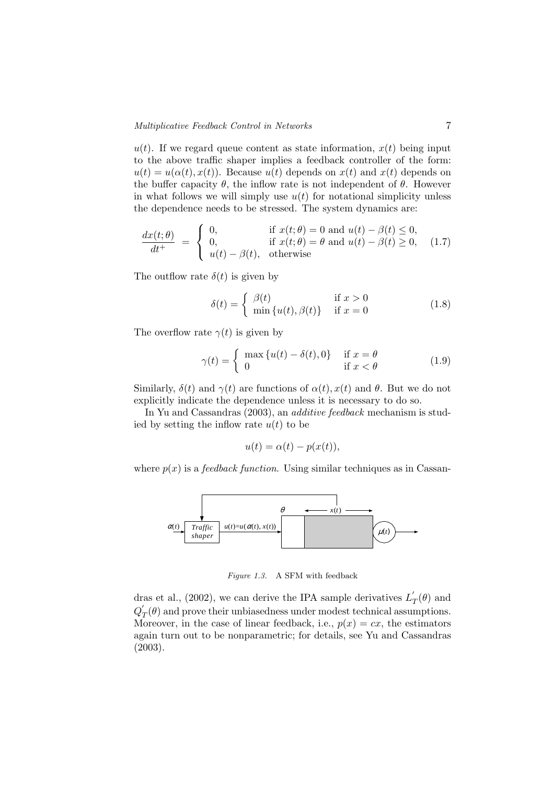$u(t)$ . If we regard queue content as state information,  $x(t)$  being input to the above traffic shaper implies a feedback controller of the form:  $u(t) = u(\alpha(t), x(t))$ . Because  $u(t)$  depends on  $x(t)$  and  $x(t)$  depends on the buffer capacity  $\theta$ , the inflow rate is not independent of  $\theta$ . However in what follows we will simply use  $u(t)$  for notational simplicity unless the dependence needs to be stressed. The system dynamics are:

$$
\frac{dx(t; \theta)}{dt^{+}} = \begin{cases} 0, & \text{if } x(t; \theta) = 0 \text{ and } u(t) - \beta(t) \le 0, \\ 0, & \text{if } x(t; \theta) = \theta \text{ and } u(t) - \beta(t) \ge 0, \\ u(t) - \beta(t), & \text{otherwise} \end{cases}
$$
(1.7)

The outflow rate  $\delta(t)$  is given by

$$
\delta(t) = \begin{cases} \beta(t) & \text{if } x > 0 \\ \min\{u(t), \beta(t)\} & \text{if } x = 0 \end{cases}
$$
\n(1.8)

The overflow rate  $\gamma(t)$  is given by

$$
\gamma(t) = \begin{cases} \max\left\{u(t) - \delta(t), 0\right\} & \text{if } x = \theta \\ 0 & \text{if } x < \theta \end{cases}
$$
 (1.9)

Similarly,  $\delta(t)$  and  $\gamma(t)$  are functions of  $\alpha(t)$ ,  $x(t)$  and  $\theta$ . But we do not explicitly indicate the dependence unless it is necessary to do so.

In Yu and Cassandras (2003), an additive feedback mechanism is studied by setting the inflow rate  $u(t)$  to be

$$
u(t) = \alpha(t) - p(x(t)),
$$

where  $p(x)$  is a *feedback function*. Using similar techniques as in Cassan-



Figure 1.3. A SFM with feedback

dras et al., (2002), we can derive the IPA sample derivatives  $L'$  $T(\theta)$  and  $Q_{\epsilon}'$  $T(T(\theta))$  and prove their unbiasedness under modest technical assumptions. Moreover, in the case of linear feedback, i.e.,  $p(x) = cx$ , the estimators again turn out to be nonparametric; for details, see Yu and Cassandras (2003).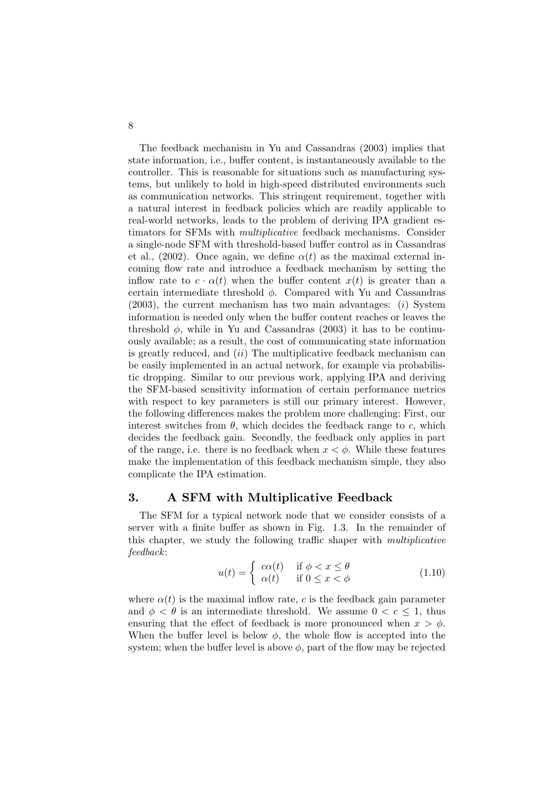The feedback mechanism in Yu and Cassandras (2003) implies that state information, i.e., buffer content, is instantaneously available to the controller. This is reasonable for situations such as manufacturing systems, but unlikely to hold in high-speed distributed environments such as communication networks. This stringent requirement, together with a natural interest in feedback policies which are readily applicable to real-world networks, leads to the problem of deriving IPA gradient estimators for SFMs with multiplicative feedback mechanisms. Consider a single-node SFM with threshold-based buffer control as in Cassandras et al., (2002). Once again, we define  $\alpha(t)$  as the maximal external incoming flow rate and introduce a feedback mechanism by setting the inflow rate to  $c \cdot \alpha(t)$  when the buffer content  $x(t)$  is greater than a certain intermediate threshold  $\phi$ . Compared with Yu and Cassandras  $(2003)$ , the current mechanism has two main advantages:  $(i)$  System information is needed only when the buffer content reaches or leaves the threshold  $\phi$ , while in Yu and Cassandras (2003) it has to be continuously available; as a result, the cost of communicating state information is greatly reduced, and  $(ii)$  The multiplicative feedback mechanism can be easily implemented in an actual network, for example via probabilistic dropping. Similar to our previous work, applying IPA and deriving the SFM-based sensitivity information of certain performance metrics with respect to key parameters is still our primary interest. However, the following differences makes the problem more challenging: First, our interest switches from  $\theta$ , which decides the feedback range to c, which decides the feedback gain. Secondly, the feedback only applies in part of the range, i.e. there is no feedback when  $x < \phi$ . While these features make the implementation of this feedback mechanism simple, they also complicate the IPA estimation.

### 3. A SFM with Multiplicative Feedback

The SFM for a typical network node that we consider consists of a server with a finite buffer as shown in Fig. 1.3. In the remainder of this chapter, we study the following traffic shaper with multiplicative feedback:

$$
u(t) = \begin{cases} c\alpha(t) & \text{if } \phi < x \le \theta \\ \alpha(t) & \text{if } 0 \le x < \phi \end{cases}
$$
 (1.10)

where  $\alpha(t)$  is the maximal inflow rate, c is the feedback gain parameter and  $\phi < \theta$  is an intermediate threshold. We assume  $0 < c \leq 1$ , thus ensuring that the effect of feedback is more pronounced when  $x > \phi$ . When the buffer level is below  $\phi$ , the whole flow is accepted into the system; when the buffer level is above  $\phi$ , part of the flow may be rejected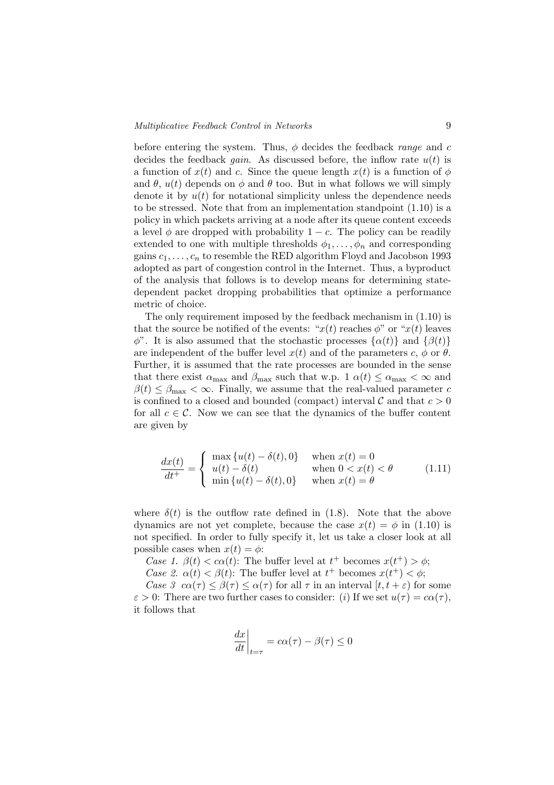before entering the system. Thus,  $\phi$  decides the feedback range and c decides the feedback gain. As discussed before, the inflow rate  $u(t)$  is a function of  $x(t)$  and c. Since the queue length  $x(t)$  is a function of  $\phi$ and  $\theta$ ,  $u(t)$  depends on  $\phi$  and  $\theta$  too. But in what follows we will simply denote it by  $u(t)$  for notational simplicity unless the dependence needs to be stressed. Note that from an implementation standpoint (1.10) is a policy in which packets arriving at a node after its queue content exceeds a level  $\phi$  are dropped with probability  $1 - c$ . The policy can be readily extended to one with multiple thresholds  $\phi_1, \ldots, \phi_n$  and corresponding gains  $c_1, \ldots, c_n$  to resemble the RED algorithm Floyd and Jacobson 1993 adopted as part of congestion control in the Internet. Thus, a byproduct of the analysis that follows is to develop means for determining statedependent packet dropping probabilities that optimize a performance metric of choice.

The only requirement imposed by the feedback mechanism in (1.10) is that the source be notified of the events: " $x(t)$  reaches  $\phi$ " or " $x(t)$  leaves  $\phi$ ". It is also assumed that the stochastic processes  $\{\alpha(t)\}\$ and  $\{\beta(t)\}\$ are independent of the buffer level  $x(t)$  and of the parameters c,  $\phi$  or  $\theta$ . Further, it is assumed that the rate processes are bounded in the sense that there exist  $\alpha_{\text{max}}$  and  $\beta_{\text{max}}$  such that w.p.  $1 \alpha(t) \leq \alpha_{\text{max}} < \infty$  and  $\beta(t) \leq \beta_{\text{max}} < \infty$ . Finally, we assume that the real-valued parameter c is confined to a closed and bounded (compact) interval  $\mathcal C$  and that  $c > 0$ for all  $c \in \mathcal{C}$ . Now we can see that the dynamics of the buffer content are given by

$$
\frac{dx(t)}{dt^+} = \begin{cases}\n\max\left\{u(t) - \delta(t), 0\right\} & \text{when } x(t) = 0 \\
u(t) - \delta(t) & \text{when } 0 < x(t) < \theta \\
\min\left\{u(t) - \delta(t), 0\right\} & \text{when } x(t) = \theta\n\end{cases}
$$
\n(1.11)

where  $\delta(t)$  is the outflow rate defined in (1.8). Note that the above dynamics are not yet complete, because the case  $x(t) = \phi$  in (1.10) is not specified. In order to fully specify it, let us take a closer look at all possible cases when  $x(t) = \phi$ :

Case 1.  $\beta(t) < c\alpha(t)$ : The buffer level at  $t^+$  becomes  $x(t^+) > \phi$ ;

Case 2.  $\alpha(t) < \beta(t)$ : The buffer level at  $t^+$  becomes  $x(t^+) < \phi$ ;

Case 3  $c\alpha(\tau) \leq \beta(\tau) \leq \alpha(\tau)$  for all  $\tau$  in an interval  $[t, t + \varepsilon)$  for some  $\varepsilon > 0$ : There are two further cases to consider: (i) If we set  $u(\tau) = c\alpha(\tau)$ , it follows that

$$
\left. \frac{dx}{dt} \right|_{t=\tau} = c\alpha(\tau) - \beta(\tau) \le 0
$$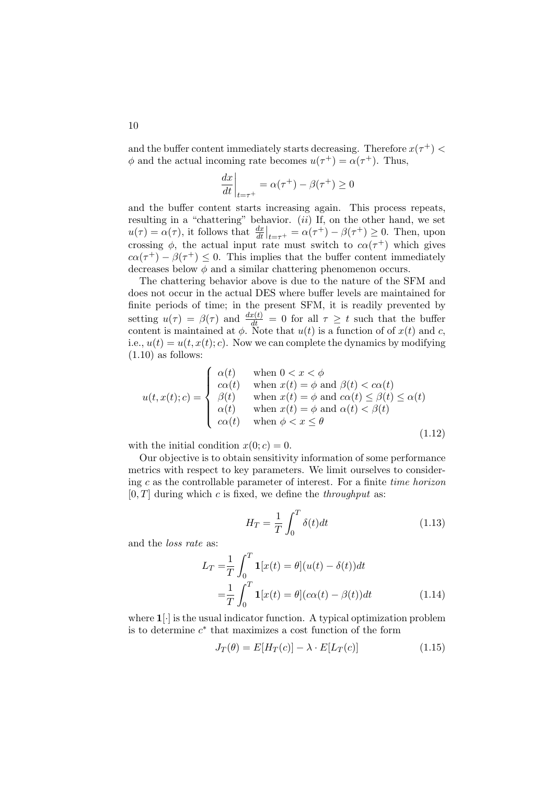and the buffer content immediately starts decreasing. Therefore  $x(\tau^+)$  <  $\phi$  and the actual incoming rate becomes  $u(\tau^+) = \alpha(\tau^+)$ . Thus,  $\overline{a}$ 

$$
\left. \frac{dx}{dt} \right|_{t=\tau^+} = \alpha(\tau^+) - \beta(\tau^+) \ge 0
$$

and the buffer content starts increasing again. This process repeats, resulting in a "chattering" behavior.  $(ii)$  If, on the other hand, we set  $u(\tau) = \alpha(\tau)$ , it follows that  $\frac{dx}{dt}\big|_{t=\tau^+} = \alpha(\tau^+) - \beta(\tau^+) \geq 0$ . Then, upon crossing  $\phi$ , the actual input rate must switch to  $c\alpha(\tau^+)$  which gives  $c\alpha(\tau^+) - \beta(\tau^+) \leq 0$ . This implies that the buffer content immediately decreases below  $\phi$  and a similar chattering phenomenon occurs.

The chattering behavior above is due to the nature of the SFM and does not occur in the actual DES where buffer levels are maintained for finite periods of time; in the present SFM, it is readily prevented by setting  $u(\tau) = \beta(\tau)$  and  $\frac{dx(t)}{dt} = 0$  for all  $\tau \geq t$  such that the buffer content is maintained at  $\phi$ . Note that  $u(t)$  is a function of of  $x(t)$  and c, i.e.,  $u(t) = u(t, x(t); c)$ . Now we can complete the dynamics by modifying  $(1.10)$  as follows:  $\overline{a}$ 

$$
u(t, x(t); c) = \begin{cases} \alpha(t) & \text{when } 0 < x < \phi \\ c\alpha(t) & \text{when } x(t) = \phi \text{ and } \beta(t) < c\alpha(t) \\ \beta(t) & \text{when } x(t) = \phi \text{ and } c\alpha(t) \le \beta(t) \le \alpha(t) \\ \alpha(t) & \text{when } x(t) = \phi \text{ and } \alpha(t) < \beta(t) \\ c\alpha(t) & \text{when } \phi < x \le \theta \end{cases}
$$
(1.12)

with the initial condition  $x(0; c) = 0$ .

Our objective is to obtain sensitivity information of some performance metrics with respect to key parameters. We limit ourselves to considering  $c$  as the controllable parameter of interest. For a finite *time horizon*  $[0, T]$  during which c is fixed, we define the throughput as:

$$
H_T = \frac{1}{T} \int_0^T \delta(t) dt
$$
\n(1.13)

and the loss rate as:

$$
L_T = \frac{1}{T} \int_0^T \mathbf{1}[x(t) = \theta](u(t) - \delta(t))dt
$$
  

$$
= \frac{1}{T} \int_0^T \mathbf{1}[x(t) = \theta](c\alpha(t) - \beta(t))dt
$$
(1.14)

where  $1$ . is the usual indicator function. A typical optimization problem is to determine  $c^*$  that maximizes a cost function of the form

$$
J_T(\theta) = E[H_T(c)] - \lambda \cdot E[L_T(c)] \qquad (1.15)
$$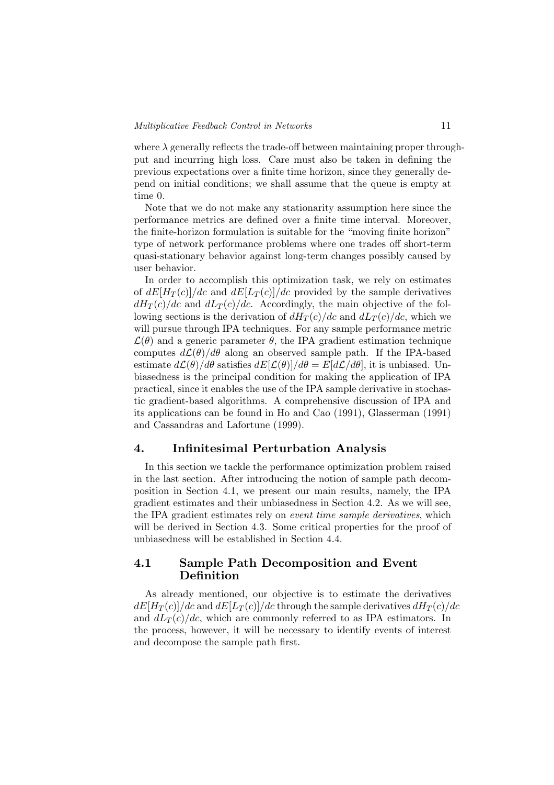where  $\lambda$  generally reflects the trade-off between maintaining proper throughput and incurring high loss. Care must also be taken in defining the previous expectations over a finite time horizon, since they generally depend on initial conditions; we shall assume that the queue is empty at time 0.

Note that we do not make any stationarity assumption here since the performance metrics are defined over a finite time interval. Moreover, the finite-horizon formulation is suitable for the "moving finite horizon" type of network performance problems where one trades off short-term quasi-stationary behavior against long-term changes possibly caused by user behavior.

In order to accomplish this optimization task, we rely on estimates of  $dE[H_T(c)]/dc$  and  $dE[L_T(c)]/dc$  provided by the sample derivatives  $dH_T(c)/dc$  and  $dL_T(c)/dc$ . Accordingly, the main objective of the following sections is the derivation of  $dH_T(c)/dc$  and  $dL_T(c)/dc$ , which we will pursue through IPA techniques. For any sample performance metric  $\mathcal{L}(\theta)$  and a generic parameter  $\theta$ , the IPA gradient estimation technique computes  $d\mathcal{L}(\theta)/d\theta$  along an observed sample path. If the IPA-based estimate  $d\mathcal{L}(\theta)/d\theta$  satisfies  $dE[\mathcal{L}(\theta)]/d\theta = E[d\mathcal{L}/d\theta]$ , it is unbiased. Unbiasedness is the principal condition for making the application of IPA practical, since it enables the use of the IPA sample derivative in stochastic gradient-based algorithms. A comprehensive discussion of IPA and its applications can be found in Ho and Cao (1991), Glasserman (1991) and Cassandras and Lafortune (1999).

# 4. Infinitesimal Perturbation Analysis

In this section we tackle the performance optimization problem raised in the last section. After introducing the notion of sample path decomposition in Section 4.1, we present our main results, namely, the IPA gradient estimates and their unbiasedness in Section 4.2. As we will see, the IPA gradient estimates rely on event time sample derivatives, which will be derived in Section 4.3. Some critical properties for the proof of unbiasedness will be established in Section 4.4.

# 4.1 Sample Path Decomposition and Event Definition

As already mentioned, our objective is to estimate the derivatives  $dE[H_T(c)]/dc$  and  $dE[L_T(c)]/dc$  through the sample derivatives  $dH_T(c)/dc$ and  $dL_T(c)/dc$ , which are commonly referred to as IPA estimators. In the process, however, it will be necessary to identify events of interest and decompose the sample path first.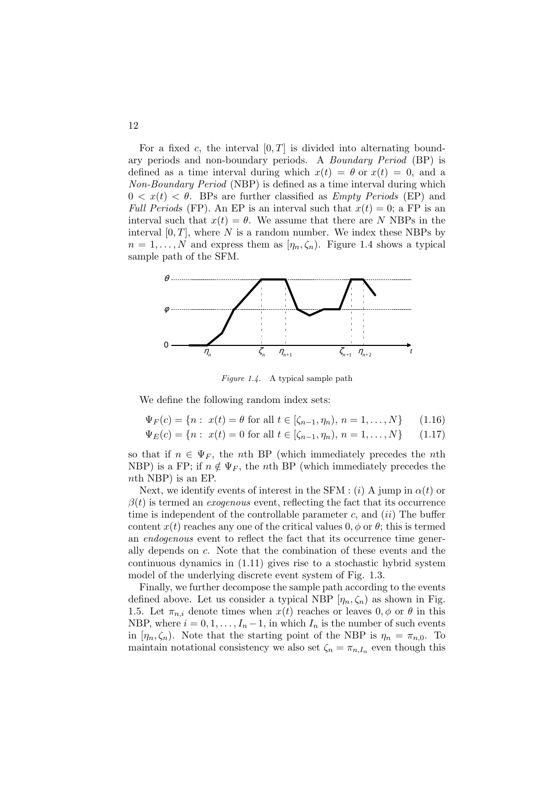For a fixed c, the interval  $[0, T]$  is divided into alternating boundary periods and non-boundary periods. A Boundary Period (BP) is defined as a time interval during which  $x(t) = \theta$  or  $x(t) = 0$ , and a Non-Boundary Period (NBP) is defined as a time interval during which  $0 < x(t) < \theta$ . BPs are further classified as *Empty Periods* (EP) and Full Periods (FP). An EP is an interval such that  $x(t) = 0$ ; a FP is an interval such that  $x(t) = \theta$ . We assume that there are N NBPs in the interval  $[0, T]$ , where N is a random number. We index these NBPs by  $n = 1, \ldots, N$  and express them as  $[\eta_n, \zeta_n]$ . Figure 1.4 shows a typical sample path of the SFM.



Figure 1.4. A typical sample path

We define the following random index sets:

$$
\Psi_F(c) = \{ n : x(t) = \theta \text{ for all } t \in [\zeta_{n-1}, \eta_n), n = 1, ..., N \}
$$
 (1.16)

$$
\Psi_E(c) = \{ n : x(t) = 0 \text{ for all } t \in [\zeta_{n-1}, \eta_n), n = 1, ..., N \} \qquad (1.17)
$$

so that if  $n \in \Psi_F$ , the *n*th BP (which immediately precedes the *n*th NBP) is a FP; if  $n \notin \Psi_F$ , the *n*th BP (which immediately precedes the nth NBP) is an EP.

Next, we identify events of interest in the SFM : (i) A jump in  $\alpha(t)$  or  $\beta(t)$  is termed an *exogenous* event, reflecting the fact that its occurrence time is independent of the controllable parameter  $c$ , and  $(ii)$  The buffer content  $x(t)$  reaches any one of the critical values  $0, \phi$  or  $\theta$ ; this is termed an endogenous event to reflect the fact that its occurrence time generally depends on c. Note that the combination of these events and the continuous dynamics in (1.11) gives rise to a stochastic hybrid system model of the underlying discrete event system of Fig. 1.3.

Finally, we further decompose the sample path according to the events defined above. Let us consider a typical NBP  $[\eta_n, \zeta_n]$  as shown in Fig. 1.5. Let  $\pi_{n,i}$  denote times when  $x(t)$  reaches or leaves  $0, \phi$  or  $\theta$  in this NBP, where  $i = 0, 1, \ldots, I_n - 1$ , in which  $I_n$  is the number of such events in  $[\eta_n, \zeta_n]$ . Note that the starting point of the NBP is  $\eta_n = \pi_{n,0}$ . To maintain notational consistency we also set  $\zeta_n = \pi_{n,I_n}$  even though this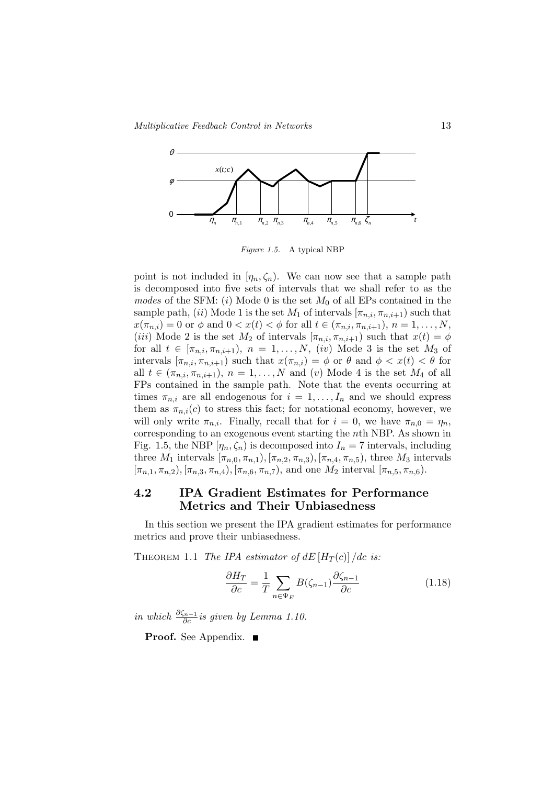

Figure 1.5. A typical NBP

point is not included in  $[\eta_n, \zeta_n]$ . We can now see that a sample path is decomposed into five sets of intervals that we shall refer to as the modes of the SFM: (i) Mode 0 is the set  $M_0$  of all EPs contained in the sample path, (ii) Mode 1 is the set  $M_1$  of intervals  $[\pi_{n,i}, \pi_{n,i+1})$  such that  $x(\pi_{n,i}) = 0$  or  $\phi$  and  $0 < x(t) < \phi$  for all  $t \in (\pi_{n,i}, \pi_{n,i+1}), n = 1, ..., N$ , (iii) Mode 2 is the set  $M_2$  of intervals  $[\pi_{n,i}, \pi_{n,i+1})$  such that  $x(t) = \phi$ for all  $t \in [\pi_{n,i}, \pi_{n,i+1}), n = 1, \ldots, N, (iv)$  Mode 3 is the set  $M_3$  of intervals  $[\pi_{n,i}, \pi_{n,i+1})$  such that  $x(\pi_{n,i}) = \phi$  or  $\theta$  and  $\phi < x(t) < \theta$  for all  $t \in (\pi_{n,i}, \pi_{n,i+1}), n = 1, \ldots, N$  and (v) Mode 4 is the set  $M_4$  of all FPs contained in the sample path. Note that the events occurring at times  $\pi_{n,i}$  are all endogenous for  $i = 1, \ldots, I_n$  and we should express them as  $\pi_{n,i}(c)$  to stress this fact; for notational economy, however, we will only write  $\pi_{n,i}$ . Finally, recall that for  $i = 0$ , we have  $\pi_{n,0} = \eta_n$ , corresponding to an exogenous event starting the nth NBP. As shown in Fig. 1.5, the NBP  $[\eta_n, \zeta_n]$  is decomposed into  $I_n = 7$  intervals, including three  $M_1$  intervals  $[\pi_{n,0}, \pi_{n,1}), [\pi_{n,2}, \pi_{n,3}), [\pi_{n,4}, \pi_{n,5}),$  three  $M_3$  intervals  $[\pi_{n,1}, \pi_{n,2}), [\pi_{n,3}, \pi_{n,4}), [\pi_{n,6}, \pi_{n,7}),$  and one  $M_2$  interval  $[\pi_{n,5}, \pi_{n,6}).$ 

# 4.2 IPA Gradient Estimates for Performance Metrics and Their Unbiasedness

In this section we present the IPA gradient estimates for performance metrics and prove their unbiasedness.

THEOREM 1.1 The IPA estimator of  $dE[H_T(c)]/dc$  is:

$$
\frac{\partial H_T}{\partial c} = \frac{1}{T} \sum_{n \in \Psi_E} B(\zeta_{n-1}) \frac{\partial \zeta_{n-1}}{\partial c}
$$
(1.18)

in which  $\frac{\partial \zeta_{n-1}}{\partial c}$  is given by Lemma 1.10.

Proof. See Appendix. ■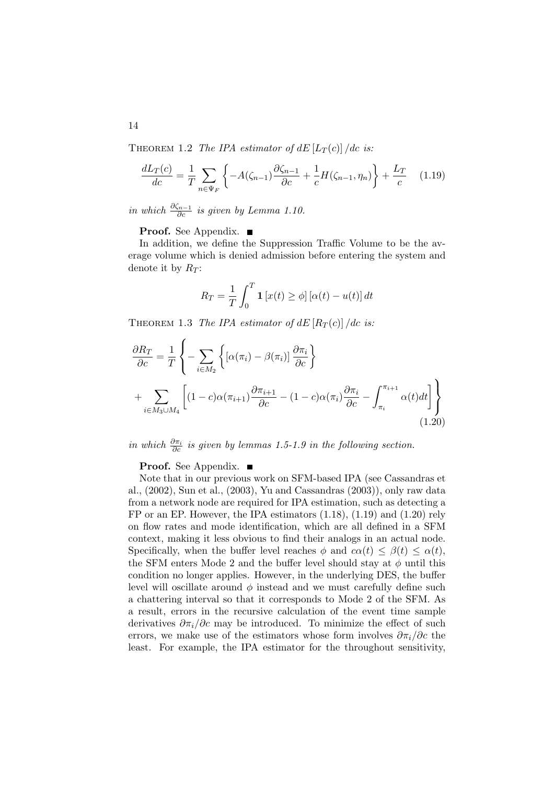THEOREM 1.2 The IPA estimator of  $dE[L_T(c)]/dc$  is:

$$
\frac{dL_T(c)}{dc} = \frac{1}{T} \sum_{n \in \Psi_F} \left\{-A(\zeta_{n-1}) \frac{\partial \zeta_{n-1}}{\partial c} + \frac{1}{c} H(\zeta_{n-1}, \eta_n) \right\} + \frac{L_T}{c} \tag{1.19}
$$

in which  $\frac{\partial \zeta_{n-1}}{\partial c}$  is given by Lemma 1.10.

#### Proof. See Appendix. ■

 $\overline{ }$ 

In addition, we define the Suppression Traffic Volume to be the average volume which is denied admission before entering the system and denote it by  $R_T$ :

$$
R_T = \frac{1}{T} \int_0^T \mathbf{1} \left[ x(t) \ge \phi \right] \left[ \alpha(t) - u(t) \right] dt
$$

THEOREM 1.3 The IPA estimator of  $dE[R_T(c)]/dc$  is:

$$
\frac{\partial R_T}{\partial c} = \frac{1}{T} \left\{ - \sum_{i \in M_2} \left\{ \left[ \alpha(\pi_i) - \beta(\pi_i) \right] \frac{\partial \pi_i}{\partial c} \right\} \right\}
$$
  
+ 
$$
\sum_{i \in M_3 \cup M_4} \left[ (1 - c) \alpha(\pi_{i+1}) \frac{\partial \pi_{i+1}}{\partial c} - (1 - c) \alpha(\pi_i) \frac{\partial \pi_i}{\partial c} - \int_{\pi_i}^{\pi_{i+1}} \alpha(t) dt \right] \right\}
$$
(1.20)

in which  $\frac{\partial \pi_i}{\partial c}$  is given by lemmas 1.5-1.9 in the following section.

#### Proof. See Appendix. ■

Note that in our previous work on SFM-based IPA (see Cassandras et al., (2002), Sun et al., (2003), Yu and Cassandras (2003)), only raw data from a network node are required for IPA estimation, such as detecting a FP or an EP. However, the IPA estimators  $(1.18)$ ,  $(1.19)$  and  $(1.20)$  rely on flow rates and mode identification, which are all defined in a SFM context, making it less obvious to find their analogs in an actual node. Specifically, when the buffer level reaches  $\phi$  and  $c\alpha(t) \leq \beta(t) \leq \alpha(t)$ , the SFM enters Mode 2 and the buffer level should stay at  $\phi$  until this condition no longer applies. However, in the underlying DES, the buffer level will oscillate around  $\phi$  instead and we must carefully define such a chattering interval so that it corresponds to Mode 2 of the SFM. As a result, errors in the recursive calculation of the event time sample derivatives  $\partial \pi_i/\partial c$  may be introduced. To minimize the effect of such errors, we make use of the estimators whose form involves  $\partial \pi_i/\partial c$  the least. For example, the IPA estimator for the throughout sensitivity,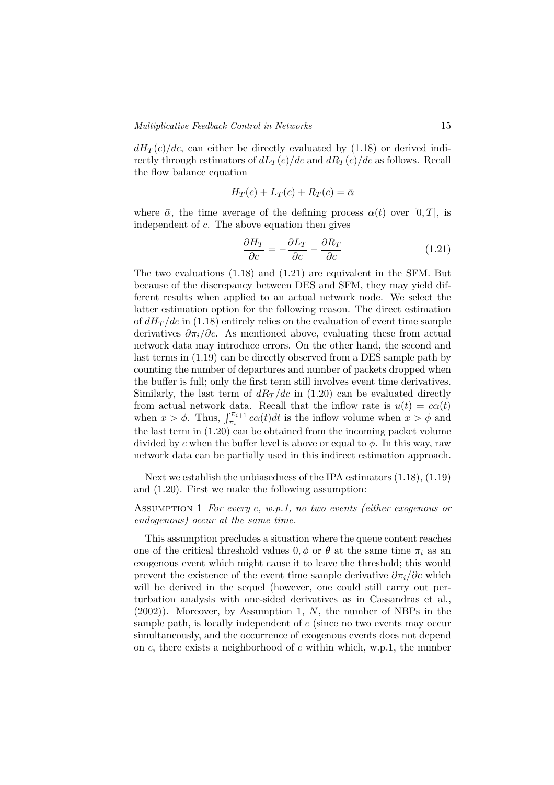$dH_T(c)/dc$ , can either be directly evaluated by (1.18) or derived indirectly through estimators of  $dL_T(c)/dc$  and  $dR_T(c)/dc$  as follows. Recall the flow balance equation

$$
H_T(c) + L_T(c) + R_T(c) = \bar{\alpha}
$$

where  $\bar{\alpha}$ , the time average of the defining process  $\alpha(t)$  over  $[0, T]$ , is independent of c. The above equation then gives

$$
\frac{\partial H_T}{\partial c} = -\frac{\partial L_T}{\partial c} - \frac{\partial R_T}{\partial c} \tag{1.21}
$$

The two evaluations (1.18) and (1.21) are equivalent in the SFM. But because of the discrepancy between DES and SFM, they may yield different results when applied to an actual network node. We select the latter estimation option for the following reason. The direct estimation of  $dH_T/dc$  in (1.18) entirely relies on the evaluation of event time sample derivatives  $\partial \pi_i/\partial c$ . As mentioned above, evaluating these from actual network data may introduce errors. On the other hand, the second and last terms in (1.19) can be directly observed from a DES sample path by counting the number of departures and number of packets dropped when the buffer is full; only the first term still involves event time derivatives. Similarly, the last term of  $dR_T/dc$  in (1.20) can be evaluated directly from actual network data. Recall that the inflow rate is  $u(t) = c\alpha(t)$ From actual network data. Recall that the inflow rate is  $u(t) = c\alpha(t)$ <br>when  $x > \phi$ . Thus,  $\int_{\pi_i}^{\pi_{i+1}} c\alpha(t) dt$  is the inflow volume when  $x > \phi$  and the last term in (1.20) can be obtained from the incoming packet volume divided by c when the buffer level is above or equal to  $\phi$ . In this way, raw network data can be partially used in this indirect estimation approach.

Next we establish the unbiasedness of the IPA estimators (1.18), (1.19) and (1.20). First we make the following assumption:

Assumption 1 For every c, w.p.1, no two events (either exogenous or endogenous) occur at the same time.

This assumption precludes a situation where the queue content reaches one of the critical threshold values  $0, \phi$  or  $\theta$  at the same time  $\pi_i$  as an exogenous event which might cause it to leave the threshold; this would prevent the existence of the event time sample derivative  $\partial \pi_i/\partial c$  which will be derived in the sequel (however, one could still carry out perturbation analysis with one-sided derivatives as in Cassandras et al.,  $(2002)$ ). Moreover, by Assumption 1, N, the number of NBPs in the sample path, is locally independent of c (since no two events may occur simultaneously, and the occurrence of exogenous events does not depend on c, there exists a neighborhood of c within which, w.p.1, the number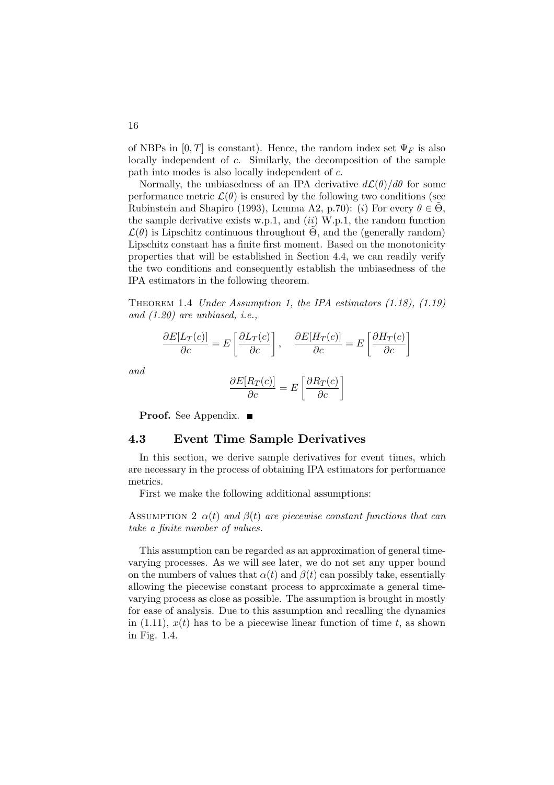of NBPs in  $[0, T]$  is constant). Hence, the random index set  $\Psi_F$  is also locally independent of c. Similarly, the decomposition of the sample path into modes is also locally independent of c.

Normally, the unbiasedness of an IPA derivative  $d\mathcal{L}(\theta)/d\theta$  for some performance metric  $\mathcal{L}(\theta)$  is ensured by the following two conditions (see Rubinstein and Shapiro (1993), Lemma A2, p.70): (i) For every  $\theta \in \Theta$ , the sample derivative exists w.p.1, and  $(ii)$  W.p.1, the random function  $\mathcal{L}(\theta)$  is Lipschitz continuous throughout  $\Theta$ , and the (generally random) Lipschitz constant has a finite first moment. Based on the monotonicity properties that will be established in Section 4.4, we can readily verify the two conditions and consequently establish the unbiasedness of the IPA estimators in the following theorem.

THEOREM 1.4 Under Assumption 1, the IPA estimators  $(1.18)$ ,  $(1.19)$ and (1.20) are unbiased, i.e.,

$$
\frac{\partial E[L_T(c)]}{\partial c} = E\left[\frac{\partial L_T(c)}{\partial c}\right], \quad \frac{\partial E[H_T(c)]}{\partial c} = E\left[\frac{\partial H_T(c)}{\partial c}\right]
$$

and

$$
\frac{\partial E[R_T(c)]}{\partial c} = E\left[\frac{\partial R_T(c)}{\partial c}\right]
$$

**Proof.** See Appendix. ■

# 4.3 Event Time Sample Derivatives

In this section, we derive sample derivatives for event times, which are necessary in the process of obtaining IPA estimators for performance metrics.

First we make the following additional assumptions:

ASSUMPTION 2  $\alpha(t)$  and  $\beta(t)$  are piecewise constant functions that can take a finite number of values.

This assumption can be regarded as an approximation of general timevarying processes. As we will see later, we do not set any upper bound on the numbers of values that  $\alpha(t)$  and  $\beta(t)$  can possibly take, essentially allowing the piecewise constant process to approximate a general timevarying process as close as possible. The assumption is brought in mostly for ease of analysis. Due to this assumption and recalling the dynamics in (1.11),  $x(t)$  has to be a piecewise linear function of time t, as shown in Fig. 1.4.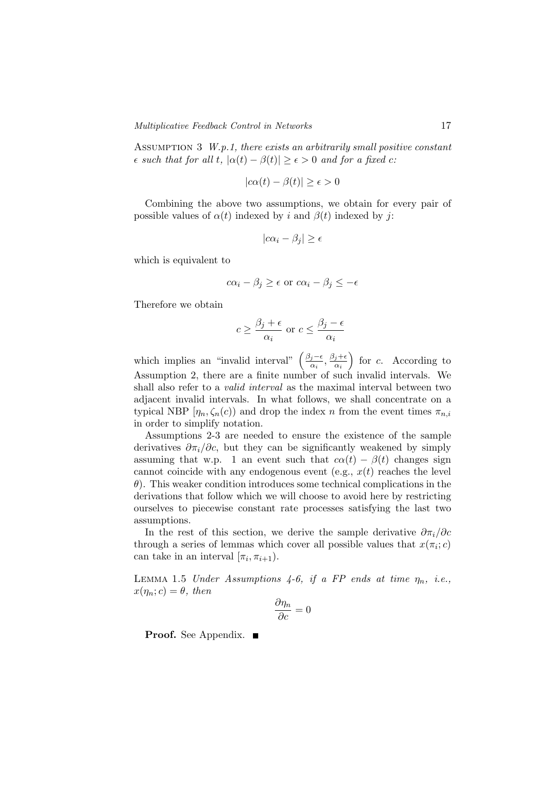Assumption 3 W.p.1, there exists an arbitrarily small positive constant  $\epsilon$  such that for all t,  $|\alpha(t) - \beta(t)| \geq \epsilon > 0$  and for a fixed c:

$$
|c\alpha(t) - \beta(t)| \ge \epsilon > 0
$$

Combining the above two assumptions, we obtain for every pair of possible values of  $\alpha(t)$  indexed by i and  $\beta(t)$  indexed by j:

$$
|c\alpha_i - \beta_j| \ge \epsilon
$$

which is equivalent to

$$
c\alpha_i - \beta_j \geq \epsilon
$$
 or  $c\alpha_i - \beta_j \leq -\epsilon$ 

Therefore we obtain

$$
c \ge \frac{\beta_j + \epsilon}{\alpha_i}
$$
 or  $c \le \frac{\beta_j - \epsilon}{\alpha_i}$ 

which implies an "invalid interval"  $\left(\frac{\beta_j-\epsilon}{\alpha}\right)$  $\frac{j-\epsilon}{\alpha_i}, \frac{\beta_j+\epsilon}{\alpha_i}$  $\overline{\alpha_i}$ ´ for c. According to Assumption 2, there are a finite number of such invalid intervals. We shall also refer to a valid interval as the maximal interval between two adjacent invalid intervals. In what follows, we shall concentrate on a typical NBP  $[\eta_n, \zeta_n(c)]$  and drop the index n from the event times  $\pi_{n,i}$ in order to simplify notation.

Assumptions 2-3 are needed to ensure the existence of the sample derivatives  $\partial \pi_i/\partial c$ , but they can be significantly weakened by simply assuming that w.p. 1 an event such that  $c\alpha(t) - \beta(t)$  changes sign cannot coincide with any endogenous event (e.g.,  $x(t)$  reaches the level  $\theta$ ). This weaker condition introduces some technical complications in the derivations that follow which we will choose to avoid here by restricting ourselves to piecewise constant rate processes satisfying the last two assumptions.

In the rest of this section, we derive the sample derivative  $\partial \pi_i/\partial c$ through a series of lemmas which cover all possible values that  $x(\pi_i; c)$ can take in an interval  $[\pi_i, \pi_{i+1}).$ 

LEMMA 1.5 Under Assumptions 4-6, if a FP ends at time  $\eta_n$ , i.e.,  $x(\eta_n; c) = \theta$ , then

$$
\frac{\partial \eta_n}{\partial c} = 0
$$

**Proof.** See Appendix. ■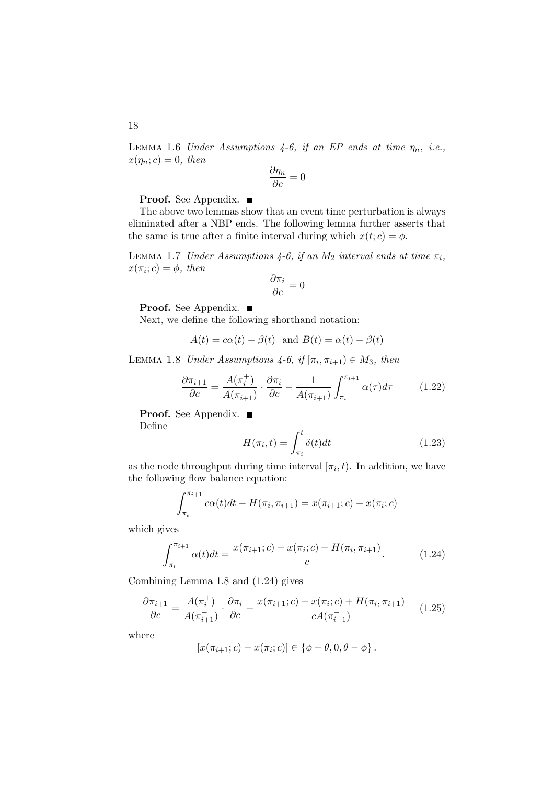LEMMA 1.6 Under Assumptions 4-6, if an EP ends at time  $\eta_n$ , i.e.,  $x(\eta_n; c) = 0$ , then

$$
\frac{\partial \eta_n}{\partial c} = 0
$$

Proof. See Appendix. ■

The above two lemmas show that an event time perturbation is always eliminated after a NBP ends. The following lemma further asserts that the same is true after a finite interval during which  $x(t; c) = \phi$ .

LEMMA 1.7 Under Assumptions 4-6, if an  $M_2$  interval ends at time  $\pi_i$ ,  $x(\pi_i; c) = \phi$ , then

$$
\frac{\partial \pi_i}{\partial c} = 0
$$

**Proof.** See Appendix. ■

Next, we define the following shorthand notation:

$$
A(t) = c\alpha(t) - \beta(t) \text{ and } B(t) = \alpha(t) - \beta(t)
$$

LEMMA 1.8 Under Assumptions  $\angle 4\text{-}6$ , if  $[\pi_i, \pi_{i+1}) \in M_3$ , then

$$
\frac{\partial \pi_{i+1}}{\partial c} = \frac{A(\pi_i^+)}{A(\pi_{i+1}^-)} \cdot \frac{\partial \pi_i}{\partial c} - \frac{1}{A(\pi_{i+1}^-)} \int_{\pi_i}^{\pi_{i+1}} \alpha(\tau) d\tau \tag{1.22}
$$

**Proof.** See Appendix. ■ Define

$$
H(\pi_i, t) = \int_{\pi_i}^t \delta(t)dt
$$
\n(1.23)

as the node throughput during time interval  $[\pi_i, t]$ . In addition, we have the following flow balance equation:

$$
\int_{\pi_i}^{\pi_{i+1}} c\alpha(t)dt - H(\pi_i, \pi_{i+1}) = x(\pi_{i+1}; c) - x(\pi_i; c)
$$

which gives

$$
\int_{\pi_i}^{\pi_{i+1}} \alpha(t)dt = \frac{x(\pi_{i+1};c) - x(\pi_i;c) + H(\pi_i, \pi_{i+1})}{c}.
$$
 (1.24)

Combining Lemma 1.8 and (1.24) gives

$$
\frac{\partial \pi_{i+1}}{\partial c} = \frac{A(\pi_i^+)}{A(\pi_{i+1}^-)} \cdot \frac{\partial \pi_i}{\partial c} - \frac{x(\pi_{i+1}; c) - x(\pi_i; c) + H(\pi_i, \pi_{i+1})}{cA(\pi_{i+1}^-)} \tag{1.25}
$$

where

$$
[x(\pi_{i+1};c) - x(\pi_i; c)] \in \{\phi - \theta, 0, \theta - \phi\}.
$$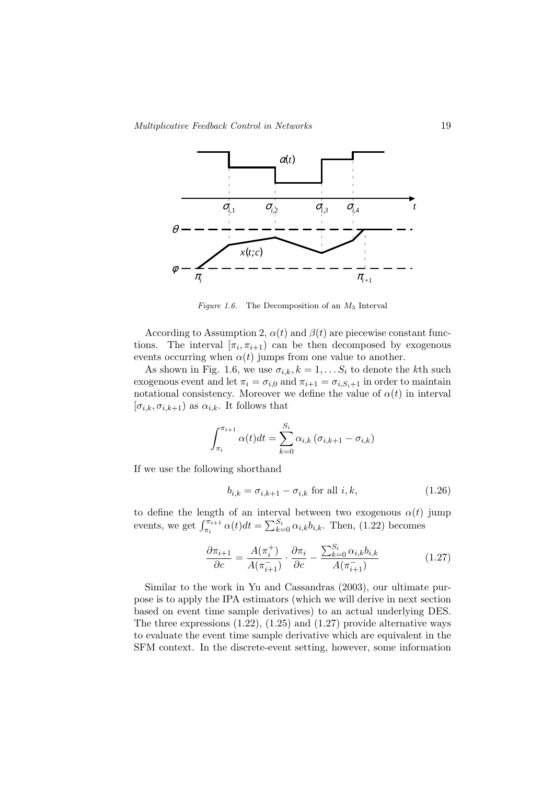

Figure 1.6. The Decomposition of an  $M_3$  Interval

According to Assumption 2,  $\alpha(t)$  and  $\beta(t)$  are piecewise constant functions. The interval  $[\pi_i, \pi_{i+1})$  can be then decomposed by exogenous events occurring when  $\alpha(t)$  jumps from one value to another.

As shown in Fig. 1.6, we use  $\sigma_{i,k}$ ,  $k = 1, \ldots S_i$  to denote the kth such exogenous event and let  $\pi_i = \sigma_{i,0}$  and  $\pi_{i+1} = \sigma_{i,S_i+1}$  in order to maintain notational consistency. Moreover we define the value of  $\alpha(t)$  in interval  $[\sigma_{i,k}, \sigma_{i,k+1}]$  as  $\alpha_{i,k}$ . It follows that

$$
\int_{\pi_i}^{\pi_{i+1}} \alpha(t)dt = \sum_{k=0}^{S_i} \alpha_{i,k} \left(\sigma_{i,k+1} - \sigma_{i,k}\right)
$$

If we use the following shorthand

$$
b_{i,k} = \sigma_{i,k+1} - \sigma_{i,k} \text{ for all } i,k,
$$
\n
$$
(1.26)
$$

to define the length of an interval between two exogenous  $\alpha(t)$  jump to define the length of an interval between two exogenous  $\alpha(t)$ <br>events, we get  $\int_{\pi_i}^{\pi_{i+1}} \alpha(t) dt = \sum_{k=0}^{S_i} \alpha_{i,k} b_{i,k}$ . Then, (1.22) becomes

$$
\frac{\partial \pi_{i+1}}{\partial c} = \frac{A(\pi_i^+)}{A(\pi_{i+1}^-)} \cdot \frac{\partial \pi_i}{\partial c} - \frac{\sum_{k=0}^{S_i} \alpha_{i,k} b_{i,k}}{A(\pi_{i+1}^-)}
$$
(1.27)

Similar to the work in Yu and Cassandras (2003), our ultimate purpose is to apply the IPA estimators (which we will derive in next section based on event time sample derivatives) to an actual underlying DES. The three expressions (1.22), (1.25) and (1.27) provide alternative ways to evaluate the event time sample derivative which are equivalent in the SFM context. In the discrete-event setting, however, some information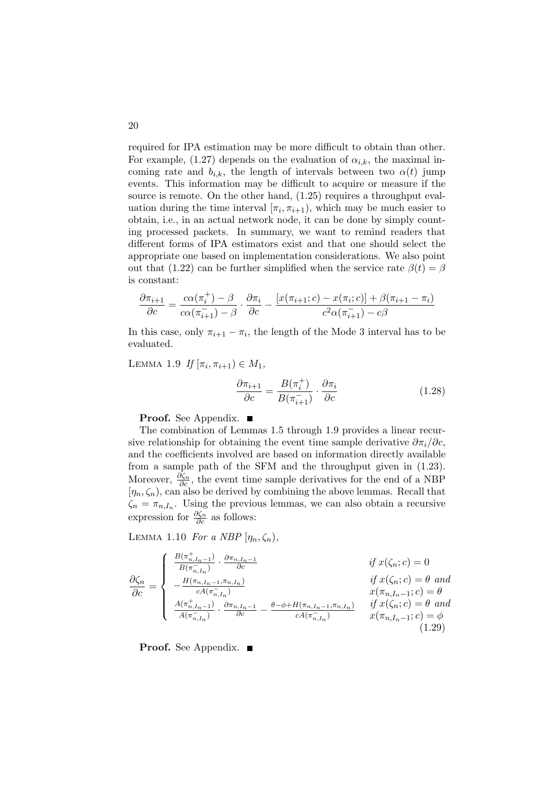required for IPA estimation may be more difficult to obtain than other. For example, (1.27) depends on the evaluation of  $\alpha_{i,k}$ , the maximal incoming rate and  $b_{i,k}$ , the length of intervals between two  $\alpha(t)$  jump events. This information may be difficult to acquire or measure if the source is remote. On the other hand, (1.25) requires a throughput evaluation during the time interval  $[\pi_i, \pi_{i+1})$ , which may be much easier to obtain, i.e., in an actual network node, it can be done by simply counting processed packets. In summary, we want to remind readers that different forms of IPA estimators exist and that one should select the appropriate one based on implementation considerations. We also point out that (1.22) can be further simplified when the service rate  $\beta(t) = \beta$ is constant:

$$
\frac{\partial \pi_{i+1}}{\partial c} = \frac{c\alpha(\pi_i^+) - \beta}{c\alpha(\pi_{i+1}^-) - \beta} \cdot \frac{\partial \pi_i}{\partial c} - \frac{[x(\pi_{i+1}; c) - x(\pi_i; c)] + \beta(\pi_{i+1} - \pi_i)}{c^2\alpha(\pi_{i+1}^-) - c\beta}
$$

In this case, only  $\pi_{i+1} - \pi_i$ , the length of the Mode 3 interval has to be evaluated.

LEMMA 1.9 If  $[\pi_i, \pi_{i+1}) \in M_1$ ,

$$
\frac{\partial \pi_{i+1}}{\partial c} = \frac{B(\pi_i^+)}{B(\pi_{i+1}^-)} \cdot \frac{\partial \pi_i}{\partial c}
$$
\n(1.28)

**Proof.** See Appendix. ■

The combination of Lemmas 1.5 through 1.9 provides a linear recursive relationship for obtaining the event time sample derivative  $\partial \pi_i/\partial c$ , and the coefficients involved are based on information directly available from a sample path of the SFM and the throughput given in (1.23). Moreover,  $\frac{\partial \zeta_n}{\partial c}$ , the event time sample derivatives for the end of a NBP  $[\eta_n, \zeta_n]$ , can also be derived by combining the above lemmas. Recall that  $\zeta_n = \pi_{n,I_n}$ . Using the previous lemmas, we can also obtain a recursive expression for  $\frac{\partial \zeta_n}{\partial c}$  as follows:

LEMMA 1.10 For a NBP  $[\eta_n, \zeta_n)$ ,

$$
\frac{\partial \zeta_n}{\partial c} = \begin{cases}\n\frac{B(\pi_{n, I_n-1}^+)}{B(\pi_{n, I_n}^-)} \cdot \frac{\partial \pi_{n, I_n-1}}{\partial c} & \text{if } x(\zeta_n; c) = 0 \\
-\frac{H(\pi_{n, I_n-1}, \pi_{n, I_n})}{cA(\pi_{n, I_n}^-)} & \text{if } x(\zeta_n; c) = \theta \text{ and} \\
\frac{A(\pi_{n, I_n-1}^+)}{A(\pi_{n, I_n}^-)} \cdot \frac{\partial \pi_{n, I_n-1}}{\partial c} - \frac{\theta - \phi + H(\pi_{n, I_n-1}, \pi_{n, I_n})}{cA(\pi_{n, I_n}^-)} & \text{if } x(\zeta_n; c) = \theta \text{ and} \\
\frac{A(\pi_{n, I_n}^+)}{A(\pi_{n, I_n}^-)} \cdot \frac{\partial \pi_{n, I_n-1}}{\partial c} - \frac{\theta - \phi + H(\pi_{n, I_n-1}, \pi_{n, I_n})}{cA(\pi_{n, I_n}^-)} & \text{if } x(\pi_{n, I_n-1}; c) = \phi \\
1.29\n\end{cases}
$$

Proof. See Appendix. ■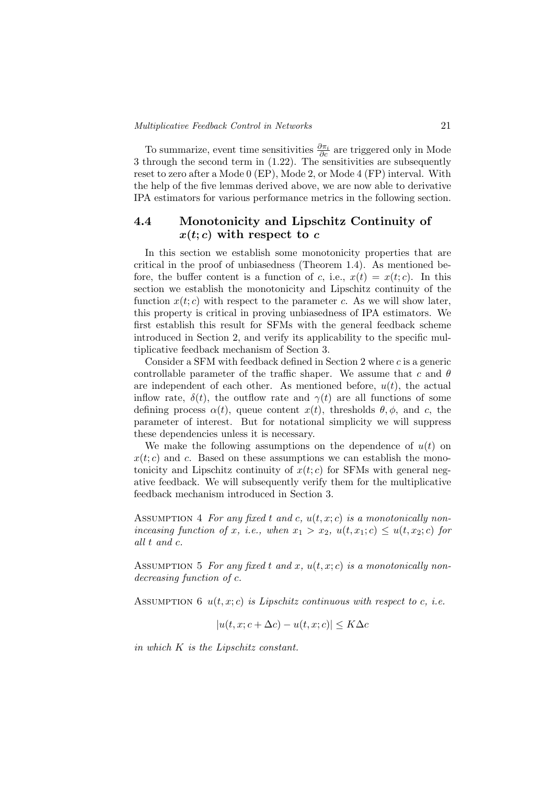To summarize, event time sensitivities  $\frac{\partial \pi_i}{\partial c}$  are triggered only in Mode 3 through the second term in  $(1.22)$ . The sensitivities are subsequently reset to zero after a Mode 0 (EP), Mode 2, or Mode 4 (FP) interval. With the help of the five lemmas derived above, we are now able to derivative IPA estimators for various performance metrics in the following section.

# 4.4 Monotonicity and Lipschitz Continuity of  $x(t; c)$  with respect to c

In this section we establish some monotonicity properties that are critical in the proof of unbiasedness (Theorem 1.4). As mentioned before, the buffer content is a function of c, i.e.,  $x(t) = x(t; c)$ . In this section we establish the monotonicity and Lipschitz continuity of the function  $x(t; c)$  with respect to the parameter c. As we will show later, this property is critical in proving unbiasedness of IPA estimators. We first establish this result for SFMs with the general feedback scheme introduced in Section 2, and verify its applicability to the specific multiplicative feedback mechanism of Section 3.

Consider a SFM with feedback defined in Section 2 where  $c$  is a generic controllable parameter of the traffic shaper. We assume that c and  $\theta$ are independent of each other. As mentioned before,  $u(t)$ , the actual inflow rate,  $\delta(t)$ , the outflow rate and  $\gamma(t)$  are all functions of some defining process  $\alpha(t)$ , queue content  $x(t)$ , thresholds  $\theta$ ,  $\phi$ , and c, the parameter of interest. But for notational simplicity we will suppress these dependencies unless it is necessary.

We make the following assumptions on the dependence of  $u(t)$  on  $x(t; c)$  and c. Based on these assumptions we can establish the monotonicity and Lipschitz continuity of  $x(t; c)$  for SFMs with general negative feedback. We will subsequently verify them for the multiplicative feedback mechanism introduced in Section 3.

ASSUMPTION 4 For any fixed t and c,  $u(t, x; c)$  is a monotonically noninceasing function of x, i.e., when  $x_1 > x_2$ ,  $u(t, x_1; c) \leq u(t, x_2; c)$  for all t and c.

ASSUMPTION 5 For any fixed t and x,  $u(t, x; c)$  is a monotonically nondecreasing function of c.

ASSUMPTION 6  $u(t, x; c)$  is Lipschitz continuous with respect to c, i.e.

$$
|u(t, x; c + \Delta c) - u(t, x; c)| \leq K \Delta c
$$

in which K is the Lipschitz constant.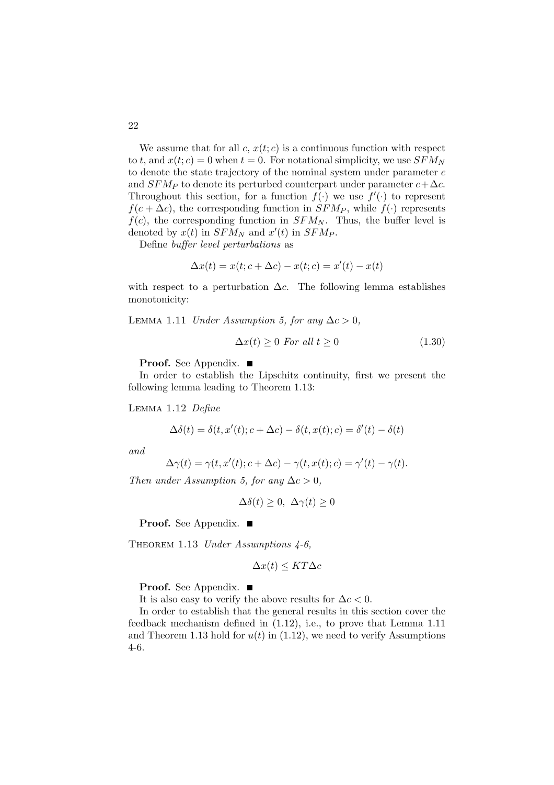We assume that for all  $c, x(t; c)$  is a continuous function with respect to t, and  $x(t; c) = 0$  when  $t = 0$ . For notational simplicity, we use  $SFM_N$ to denote the state trajectory of the nominal system under parameter c and  $SFM_P$  to denote its perturbed counterpart under parameter  $c+\Delta c$ . Throughout this section, for a function  $f(\cdot)$  we use  $f'(\cdot)$  to represent  $f(c + \Delta c)$ , the corresponding function in  $SFMp$ , while  $f(\cdot)$  represents  $f(c)$ , the corresponding function in  $SFM_N$ . Thus, the buffer level is denoted by  $x(t)$  in  $SFM_N$  and  $x'(t)$  in  $SFM_P$ .

Define buffer level perturbations as

$$
\Delta x(t) = x(t; c + \Delta c) - x(t; c) = x'(t) - x(t)
$$

with respect to a perturbation  $\Delta c$ . The following lemma establishes monotonicity:

LEMMA 1.11 Under Assumption 5, for any  $\Delta c > 0$ ,

$$
\Delta x(t) \ge 0 \text{ For all } t \ge 0 \tag{1.30}
$$

Proof. See Appendix. ■

In order to establish the Lipschitz continuity, first we present the following lemma leading to Theorem 1.13:

Lemma 1.12 Define

$$
\Delta\delta(t) = \delta(t, x'(t); c + \Delta c) - \delta(t, x(t); c) = \delta'(t) - \delta(t)
$$

and

$$
\Delta \gamma(t) = \gamma(t, x'(t); c + \Delta c) - \gamma(t, x(t); c) = \gamma'(t) - \gamma(t).
$$

Then under Assumption 5, for any  $\Delta c > 0$ ,

$$
\Delta \delta(t) \ge 0, \ \Delta \gamma(t) \ge 0
$$

**Proof.** See Appendix. ■

THEOREM 1.13 Under Assumptions  $4-6$ ,

$$
\Delta x(t) \leq KT\Delta c
$$

**Proof.** See Appendix. ■

It is also easy to verify the above results for  $\Delta c < 0$ .

In order to establish that the general results in this section cover the feedback mechanism defined in (1.12), i.e., to prove that Lemma 1.11 and Theorem 1.13 hold for  $u(t)$  in (1.12), we need to verify Assumptions 4-6.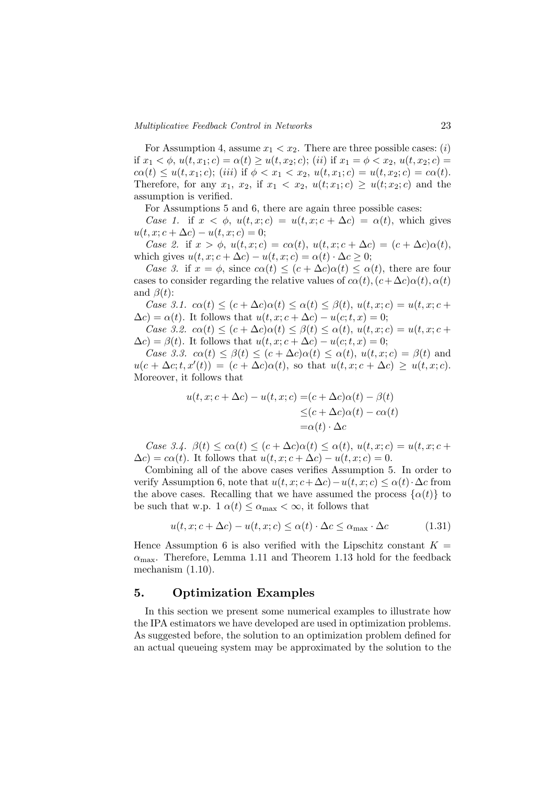For Assumption 4, assume  $x_1 < x_2$ . There are three possible cases: (i) if  $x_1 < \phi$ ,  $u(t, x_1; c) = \alpha(t) \ge u(t, x_2; c)$ ; (ii) if  $x_1 = \phi < x_2$ ,  $u(t, x_2; c) =$  $c\alpha(t) \le u(t, x_1; c)$ ; (iii) if  $\phi < x_1 < x_2$ ,  $u(t, x_1; c) = u(t, x_2; c) = c\alpha(t)$ . Therefore, for any  $x_1, x_2$ , if  $x_1 < x_2$ ,  $u(t; x_1; c) \geq u(t; x_2; c)$  and the assumption is verified.

For Assumptions 5 and 6, there are again three possible cases:

Case 1. if  $x < \phi$ ,  $u(t, x; c) = u(t, x; c + \Delta c) = \alpha(t)$ , which gives  $u(t, x; c + \Delta c) - u(t, x; c) = 0;$ 

Case 2. if  $x > \phi$ ,  $u(t, x; c) = c\alpha(t)$ ,  $u(t, x; c + \Delta c) = (c + \Delta c)\alpha(t)$ , which gives  $u(t, x; c + \Delta c) - u(t, x; c) = \alpha(t) \cdot \Delta c \geq 0;$ 

Case 3. if  $x = \phi$ , since  $c\alpha(t) \leq (c + \Delta c)\alpha(t) \leq \alpha(t)$ , there are four cases to consider regarding the relative values of  $c\alpha(t)$ ,  $(c+\Delta c)\alpha(t)$ ,  $\alpha(t)$ and  $\beta(t)$ :

Case 3.1.  $c\alpha(t) \leq (c + \Delta c)\alpha(t) \leq \alpha(t) \leq \beta(t), u(t, x; c) = u(t, x; c +$  $\Delta c$ ) =  $\alpha(t)$ . It follows that  $u(t, x; c + \Delta c) - u(c; t, x) = 0;$ 

Case 3.2.  $c\alpha(t) \leq (c + \Delta c)\alpha(t) \leq \beta(t) \leq \alpha(t), u(t, x; c) = u(t, x; c +$  $\Delta c = \beta(t)$ . It follows that  $u(t, x; c + \Delta c) - u(c; t, x) = 0;$ 

Case 3.3.  $c\alpha(t) \leq \beta(t) \leq (c + \Delta c)\alpha(t) \leq \alpha(t), u(t, x; c) = \beta(t)$  and  $u(c + \Delta c; t, x'(t)) = (c + \Delta c)\alpha(t)$ , so that  $u(t, x; c + \Delta c) \geq u(t, x; c)$ . Moreover, it follows that

$$
u(t, x; c + \Delta c) - u(t, x; c) = (c + \Delta c)\alpha(t) - \beta(t)
$$
  
\n
$$
\leq (c + \Delta c)\alpha(t) - c\alpha(t)
$$
  
\n
$$
= \alpha(t) \cdot \Delta c
$$

Case 3.4.  $\beta(t) \leq c\alpha(t) \leq (c + \Delta c)\alpha(t) \leq \alpha(t), u(t, x; c) = u(t, x; c +$  $\Delta c$  = c $\alpha(t)$ . It follows that  $u(t, x; c + \Delta c) - u(t, x; c) = 0$ .

Combining all of the above cases verifies Assumption 5. In order to verify Assumption 6, note that  $u(t, x; c+\Delta c) - u(t, x; c) \leq \alpha(t) \cdot \Delta c$  from the above cases. Recalling that we have assumed the process  $\{\alpha(t)\}\)$  to be such that w.p.  $1 \alpha(t) \leq \alpha_{\text{max}} < \infty$ , it follows that

$$
u(t, x; c + \Delta c) - u(t, x; c) \le \alpha(t) \cdot \Delta c \le \alpha_{\text{max}} \cdot \Delta c \tag{1.31}
$$

Hence Assumption 6 is also verified with the Lipschitz constant  $K =$  $\alpha_{\text{max}}$ . Therefore, Lemma 1.11 and Theorem 1.13 hold for the feedback mechanism (1.10).

#### 5. Optimization Examples

In this section we present some numerical examples to illustrate how the IPA estimators we have developed are used in optimization problems. As suggested before, the solution to an optimization problem defined for an actual queueing system may be approximated by the solution to the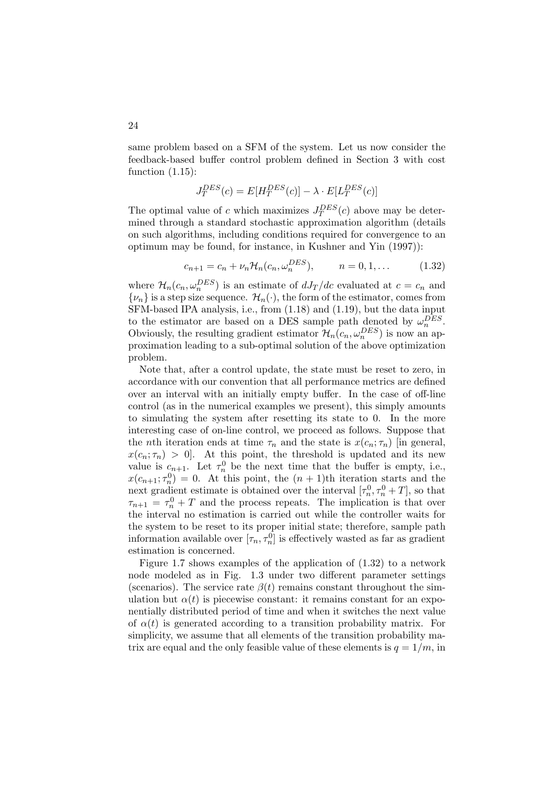same problem based on a SFM of the system. Let us now consider the feedback-based buffer control problem defined in Section 3 with cost function  $(1.15)$ :

$$
J_T^{DES}(c) = E[H_T^{DES}(c)] - \lambda \cdot E[L_T^{DES}(c)]
$$

The optimal value of c which maximizes  $J_T^{DES}(c)$  above may be determined through a standard stochastic approximation algorithm (details on such algorithms, including conditions required for convergence to an optimum may be found, for instance, in Kushner and Yin (1997)):

$$
c_{n+1} = c_n + \nu_n \mathcal{H}_n(c_n, \omega_n^{DES}), \qquad n = 0, 1, ... \qquad (1.32)
$$

where  $\mathcal{H}_n(c_n,\omega_n^{DES})$  is an estimate of  $dJ_T/dc$  evaluated at  $c=c_n$  and  $\{\nu_n\}$  is a step size sequence.  $\mathcal{H}_n(\cdot)$ , the form of the estimator, comes from SFM-based IPA analysis, i.e., from (1.18) and (1.19), but the data input to the estimator are based on a DES sample path denoted by  $\omega_n^{DES}$ . Obviously, the resulting gradient estimator  $\mathcal{H}_n(c_n,\omega_n^{DES})$  is now an approximation leading to a sub-optimal solution of the above optimization problem.

Note that, after a control update, the state must be reset to zero, in accordance with our convention that all performance metrics are defined over an interval with an initially empty buffer. In the case of off-line control (as in the numerical examples we present), this simply amounts to simulating the system after resetting its state to 0. In the more interesting case of on-line control, we proceed as follows. Suppose that the *n*th iteration ends at time  $\tau_n$  and the state is  $x(c_n; \tau_n)$  [in general,  $x(c_n; \tau_n) > 0$ . At this point, the threshold is updated and its new value is  $c_{n+1}$ . Let  $\tau_n^0$  be the next time that the buffer is empty, i.e.,  $x(c_{n+1}; \tau_n^0) = 0$ . At this point, the  $(n+1)$ th iteration starts and the next gradient estimate is obtained over the interval  $[\tau_n^0, \tau_n^0 + T]$ , so that  $\tau_{n+1} = \tau_n^0 + T$  and the process repeats. The implication is that over the interval no estimation is carried out while the controller waits for the system to be reset to its proper initial state; therefore, sample path information available over  $[\tau_n, \tau_n^0]$  is effectively wasted as far as gradient estimation is concerned.

Figure 1.7 shows examples of the application of (1.32) to a network node modeled as in Fig. 1.3 under two different parameter settings (scenarios). The service rate  $\beta(t)$  remains constant throughout the simulation but  $\alpha(t)$  is piecewise constant: it remains constant for an exponentially distributed period of time and when it switches the next value of  $\alpha(t)$  is generated according to a transition probability matrix. For simplicity, we assume that all elements of the transition probability matrix are equal and the only feasible value of these elements is  $q = 1/m$ , in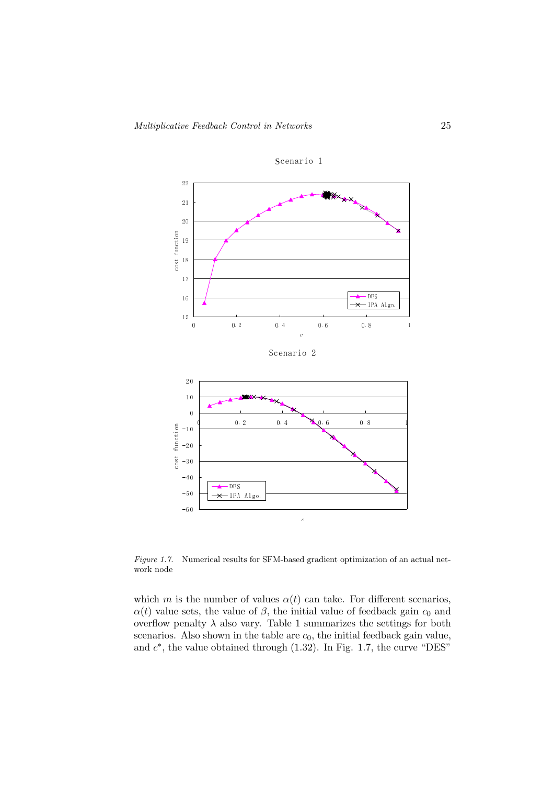

Scenario 1





Figure 1.7. Numerical results for SFM-based gradient optimization of an actual network node

which m is the number of values  $\alpha(t)$  can take. For different scenarios,  $\alpha(t)$  value sets, the value of  $\beta$ , the initial value of feedback gain  $c_0$  and overflow penalty  $\lambda$  also vary. Table 1 summarizes the settings for both scenarios. Also shown in the table are  $c_0$ , the initial feedback gain value, and  $c^*$ , the value obtained through  $(1.32)$ . In Fig. 1.7, the curve "DES"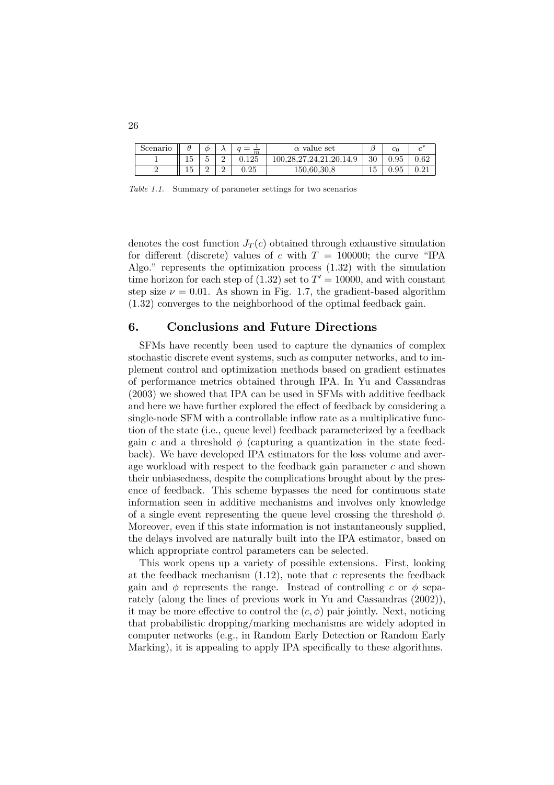| Scenario |                                     | Φ             | $\overline{\phantom{a}}$ | $\boldsymbol{m}$ | value set<br>$\alpha$  |    | $c_0$ |              |
|----------|-------------------------------------|---------------|--------------------------|------------------|------------------------|----|-------|--------------|
|          | $\overline{\phantom{0}}$<br>15      | ۔<br>υ        | ົ<br>↵                   | 0.125            | 24, 21, 20, 14, 9<br>m | 30 | 0.95  | $_{0.62}$    |
|          | $\overline{\phantom{0}}$<br>h<br>ŦΩ | $\Omega$<br>↵ | $\Omega$<br>∠            | U.∠∪             | 150,60,30,8            | ΠO | 0.95  | . ດ∗<br>U.∠⊥ |

Table 1.1. Summary of parameter settings for two scenarios

denotes the cost function  $J_T(c)$  obtained through exhaustive simulation for different (discrete) values of c with  $T = 100000$ ; the curve "IPA Algo." represents the optimization process (1.32) with the simulation time horizon for each step of  $(1.32)$  set to  $T' = 10000$ , and with constant step size  $\nu = 0.01$ . As shown in Fig. 1.7, the gradient-based algorithm (1.32) converges to the neighborhood of the optimal feedback gain.

# 6. Conclusions and Future Directions

SFMs have recently been used to capture the dynamics of complex stochastic discrete event systems, such as computer networks, and to implement control and optimization methods based on gradient estimates of performance metrics obtained through IPA. In Yu and Cassandras (2003) we showed that IPA can be used in SFMs with additive feedback and here we have further explored the effect of feedback by considering a single-node SFM with a controllable inflow rate as a multiplicative function of the state (i.e., queue level) feedback parameterized by a feedback gain c and a threshold  $\phi$  (capturing a quantization in the state feedback). We have developed IPA estimators for the loss volume and average workload with respect to the feedback gain parameter  $c$  and shown their unbiasedness, despite the complications brought about by the presence of feedback. This scheme bypasses the need for continuous state information seen in additive mechanisms and involves only knowledge of a single event representing the queue level crossing the threshold  $\phi$ . Moreover, even if this state information is not instantaneously supplied, the delays involved are naturally built into the IPA estimator, based on which appropriate control parameters can be selected.

This work opens up a variety of possible extensions. First, looking at the feedback mechanism  $(1.12)$ , note that c represents the feedback gain and  $\phi$  represents the range. Instead of controlling c or  $\phi$  separately (along the lines of previous work in Yu and Cassandras (2002)), it may be more effective to control the  $(c, \phi)$  pair jointly. Next, noticing that probabilistic dropping/marking mechanisms are widely adopted in computer networks (e.g., in Random Early Detection or Random Early Marking), it is appealing to apply IPA specifically to these algorithms.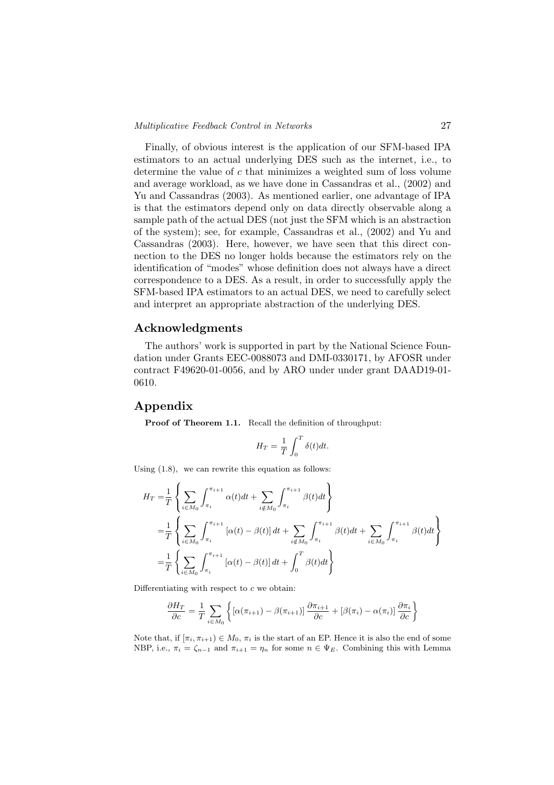Finally, of obvious interest is the application of our SFM-based IPA estimators to an actual underlying DES such as the internet, i.e., to determine the value of c that minimizes a weighted sum of loss volume and average workload, as we have done in Cassandras et al., (2002) and Yu and Cassandras (2003). As mentioned earlier, one advantage of IPA is that the estimators depend only on data directly observable along a sample path of the actual DES (not just the SFM which is an abstraction of the system); see, for example, Cassandras et al., (2002) and Yu and Cassandras (2003). Here, however, we have seen that this direct connection to the DES no longer holds because the estimators rely on the identification of "modes" whose definition does not always have a direct correspondence to a DES. As a result, in order to successfully apply the SFM-based IPA estimators to an actual DES, we need to carefully select and interpret an appropriate abstraction of the underlying DES.

#### Acknowledgments

The authors' work is supported in part by the National Science Foundation under Grants EEC-0088073 and DMI-0330171, by AFOSR under contract F49620-01-0056, and by ARO under under grant DAAD19-01- 0610.

# Appendix

 $\overline{a}$ 

Proof of Theorem 1.1. Recall the definition of throughput:

$$
H_T = \frac{1}{T} \int_0^T \delta(t) dt.
$$

 $\ddot{\phantom{a}}$ 

Using (1.8), we can rewrite this equation as follows:

$$
H_T = \frac{1}{T} \left\{ \sum_{i \in M_0} \int_{\pi_i}^{\pi_{i+1}} \alpha(t)dt + \sum_{i \notin M_0} \int_{\pi_i}^{\pi_{i+1}} \beta(t)dt \right\}
$$
  
\n
$$
= \frac{1}{T} \left\{ \sum_{i \in M_0} \int_{\pi_i}^{\pi_{i+1}} [\alpha(t) - \beta(t)] dt + \sum_{i \notin M_0} \int_{\pi_i}^{\pi_{i+1}} \beta(t)dt + \sum_{i \in M_0} \int_{\pi_i}^{\pi_{i+1}} \beta(t)dt \right\}
$$
  
\n
$$
= \frac{1}{T} \left\{ \sum_{i \in M_0} \int_{\pi_i}^{\pi_{i+1}} [\alpha(t) - \beta(t)] dt + \int_0^T \beta(t)dt \right\}
$$

Differentiating with respect to  $c$  we obtain:

$$
\frac{\partial H_T}{\partial c} = \frac{1}{T} \sum_{i \in M_0} \left\{ \left[ \alpha(\pi_{i+1}) - \beta(\pi_{i+1}) \right] \frac{\partial \pi_{i+1}}{\partial c} + \left[ \beta(\pi_i) - \alpha(\pi_i) \right] \frac{\partial \pi_i}{\partial c} \right\}
$$

Note that, if  $[\pi_i, \pi_{i+1}) \in M_0$ ,  $\pi_i$  is the start of an EP. Hence it is also the end of some NBP, i.e.,  $\pi_i = \zeta_{n-1}$  and  $\pi_{i+1} = \eta_n$  for some  $n \in \Psi_E$ . Combining this with Lemma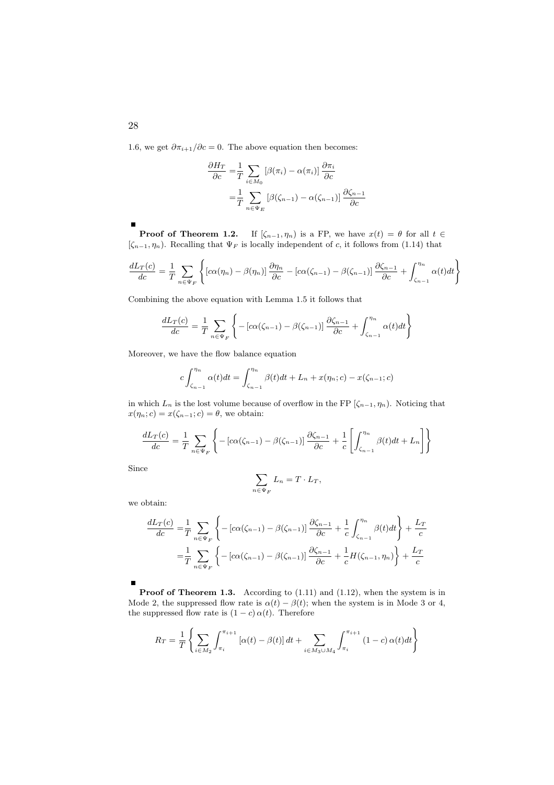1.6, we get  $\partial \pi_{i+1}/\partial c = 0$ . The above equation then becomes:

$$
\frac{\partial H_T}{\partial c} = \frac{1}{T} \sum_{i \in M_0} \left[ \beta(\pi_i) - \alpha(\pi_i) \right] \frac{\partial \pi_i}{\partial c}
$$

$$
= \frac{1}{T} \sum_{n \in \Psi_E} \left[ \beta(\zeta_{n-1}) - \alpha(\zeta_{n-1}) \right] \frac{\partial \zeta_{n-1}}{\partial c}
$$

л

**Proof of Theorem 1.2.** If  $(\zeta_{n-1}, \eta_n)$  is a FP, we have  $x(t) = \theta$  for all  $t \in$  $[\zeta_{n-1}, \eta_n]$ . Recalling that  $\Psi_F$  is locally independent of c, it follows from (1.14) that

$$
\frac{dL_T(c)}{dc} = \frac{1}{T} \sum_{n \in \Psi_F} \left\{ \left[ c\alpha(\eta_n) - \beta(\eta_n) \right] \frac{\partial \eta_n}{\partial c} - \left[ c\alpha(\zeta_{n-1}) - \beta(\zeta_{n-1}) \right] \frac{\partial \zeta_{n-1}}{\partial c} + \int_{\zeta_{n-1}}^{\eta_n} \alpha(t) dt \right\}
$$

Combining the above equation with Lemma 1.5 it follows that

$$
\frac{dL_T(c)}{dc} = \frac{1}{T} \sum_{n \in \Psi_F} \left\{ - \left[ c\alpha(\zeta_{n-1}) - \beta(\zeta_{n-1}) \right] \frac{\partial \zeta_{n-1}}{\partial c} + \int_{\zeta_{n-1}}^{\eta_n} \alpha(t) dt \right\}
$$

Moreover, we have the flow balance equation

$$
c\int_{\zeta_{n-1}}^{\eta_n} \alpha(t)dt = \int_{\zeta_{n-1}}^{\eta_n} \beta(t)dt + L_n + x(\eta_n; c) - x(\zeta_{n-1}; c)
$$

in which  $L_n$  is the lost volume because of overflow in the FP  $[\zeta_{n-1}, \eta_n]$ . Noticing that  $x(\eta_n; c) = x(\zeta_{n-1}; c) = \theta$ , we obtain:

$$
\frac{dL_T(c)}{dc} = \frac{1}{T} \sum_{n \in \Psi_F} \left\{ - \left[ c\alpha(\zeta_{n-1}) - \beta(\zeta_{n-1}) \right] \frac{\partial \zeta_{n-1}}{\partial c} + \frac{1}{c} \left[ \int_{\zeta_{n-1}}^{\eta_n} \beta(t) dt + L_n \right] \right\}
$$

Since

$$
\sum_{n\in\Psi_F}L_n=T\cdot L_T,
$$

we obtain:

$$
\frac{dL_T(c)}{dc} = \frac{1}{T} \sum_{n \in \Psi_F} \left\{ -\left[ c\alpha(\zeta_{n-1}) - \beta(\zeta_{n-1}) \right] \frac{\partial \zeta_{n-1}}{\partial c} + \frac{1}{c} \int_{\zeta_{n-1}}^{\eta_n} \beta(t) dt \right\} + \frac{L_T}{c}
$$

$$
= \frac{1}{T} \sum_{n \in \Psi_F} \left\{ -\left[ c\alpha(\zeta_{n-1}) - \beta(\zeta_{n-1}) \right] \frac{\partial \zeta_{n-1}}{\partial c} + \frac{1}{c} H(\zeta_{n-1}, \eta_n) \right\} + \frac{L_T}{c}
$$

п

Proof of Theorem 1.3. According to  $(1.11)$  and  $(1.12)$ , when the system is in Mode 2, the suppressed flow rate is  $\alpha(t) - \beta(t)$ ; when the system is in Mode 3 or 4, the suppressed flow rate is  $(1 - c) \alpha(t)$ . Therefore

$$
R_T = \frac{1}{T} \left\{ \sum_{i \in M_2} \int_{\pi_i}^{\pi_{i+1}} \left[ \alpha(t) - \beta(t) \right] dt + \sum_{i \in M_3 \cup M_4} \int_{\pi_i}^{\pi_{i+1}} (1 - c) \, \alpha(t) dt \right\}
$$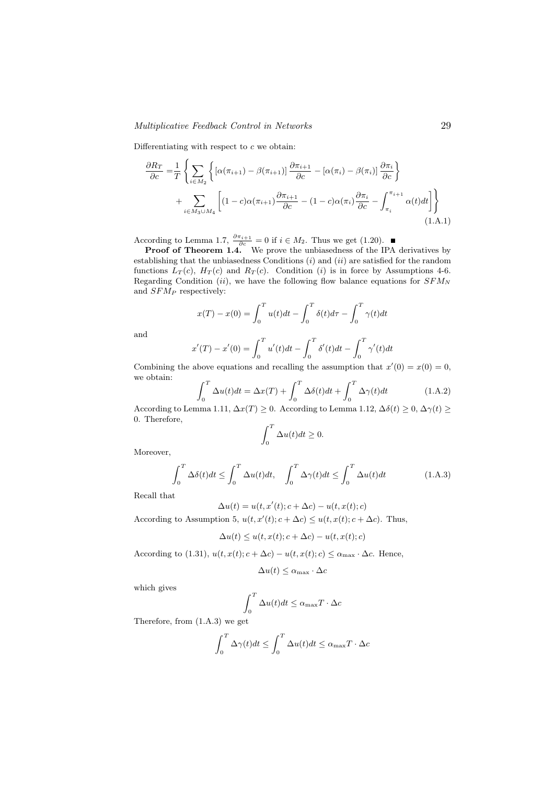Differentiating with respect to  $c$  we obtain:

$$
\frac{\partial R_T}{\partial c} = \frac{1}{T} \left\{ \sum_{i \in M_2} \left\{ \left[ \alpha(\pi_{i+1}) - \beta(\pi_{i+1}) \right] \frac{\partial \pi_{i+1}}{\partial c} - \left[ \alpha(\pi_i) - \beta(\pi_i) \right] \frac{\partial \pi_i}{\partial c} \right\} + \sum_{i \in M_3 \cup M_4} \left[ (1 - c)\alpha(\pi_{i+1}) \frac{\partial \pi_{i+1}}{\partial c} - (1 - c)\alpha(\pi_i) \frac{\partial \pi_i}{\partial c} - \int_{\pi_i}^{\pi_{i+1}} \alpha(t) dt \right] \right\}
$$
\n(1.A.1)

According to Lemma 1.7,  $\frac{\partial \pi_{i+1}}{\partial c} = 0$  if  $i \in M_2$ . Thus we get (1.20).

**Proof of Theorem 1.4.** We prove the unbiasedness of the IPA derivatives by establishing that the unbiasedness Conditions  $(i)$  and  $(ii)$  are satisfied for the random functions  $L_T(c)$ ,  $H_T(c)$  and  $R_T(c)$ . Condition (i) is in force by Assumptions 4-6. Regarding Condition (ii), we have the following flow balance equations for  $SFM_N$ and  $SFM_P$  respectively:

$$
x(T) - x(0) = \int_0^T u(t)dt - \int_0^T \delta(t)d\tau - \int_0^T \gamma(t)dt
$$

and

$$
x'(T) - x'(0) = \int_0^T u'(t)dt - \int_0^T \delta'(t)dt - \int_0^T \gamma'(t)dt
$$

Combining the above equations and recalling the assumption that  $x'(0) = x(0) = 0$ , we obtain:  $\overline{r}$  $\overline{r}$ 

$$
\int_0^T \Delta u(t)dt = \Delta x(T) + \int_0^T \Delta \delta(t)dt + \int_0^T \Delta \gamma(t)dt
$$
\n(1.A.2)

According to Lemma 1.11,  $\Delta x(T) \geq 0$ . According to Lemma 1.12,  $\Delta \delta(t) \geq 0$ ,  $\Delta \gamma(t) \geq 0$ 0. Therefore,  $\overline{r}$ 

$$
\int_0^T \Delta u(t)dt \ge 0.
$$

Moreover,

$$
\int_0^T \Delta \delta(t) dt \le \int_0^T \Delta u(t) dt, \quad \int_0^T \Delta \gamma(t) dt \le \int_0^T \Delta u(t) dt \tag{1.A.3}
$$

Recall that

$$
\Delta u(t) = u(t, x'(t); c + \Delta c) - u(t, x(t); c)
$$

According to Assumption 5,  $u(t, x'(t); c + \Delta c) \leq u(t, x(t); c + \Delta c)$ . Thus,

$$
\Delta u(t) \le u(t, x(t); c + \Delta c) - u(t, x(t); c)
$$

According to (1.31),  $u(t, x(t); c + \Delta c) - u(t, x(t); c) \leq \alpha_{\text{max}} \cdot \Delta c$ . Hence,

$$
\Delta u(t) \leq \alpha_{\max} \cdot \Delta c
$$

which gives

$$
\int_0^T \Delta u(t)dt \le \alpha_{\text{max}} T \cdot \Delta c
$$

Therefore, from (1.A.3) we get

$$
\int_0^T \Delta \gamma(t) dt \le \int_0^T \Delta u(t) dt \le \alpha_{\text{max}} T \cdot \Delta c
$$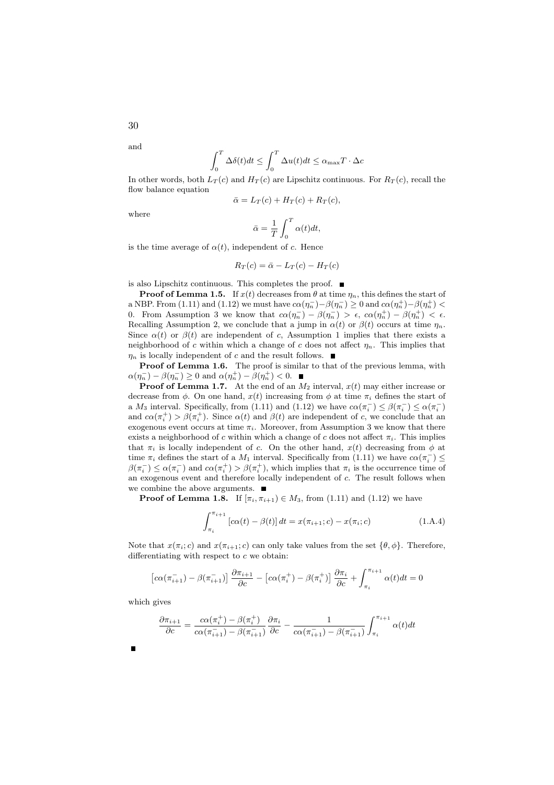$$
\int_0^T \Delta \delta(t) dt \le \int_0^T \Delta u(t) dt \le \alpha_{\text{max}} T \cdot \Delta c
$$

In other words, both  $L_T(c)$  and  $H_T(c)$  are Lipschitz continuous. For  $R_T(c)$ , recall the flow balance equation

$$
\bar{\alpha} = L_T(c) + H_T(c) + R_T(c),
$$

where

$$
\bar{\alpha} = \frac{1}{T} \int_0^T \alpha(t) dt,
$$

is the time average of  $\alpha(t)$ , independent of c. Hence

$$
R_T(c) = \bar{\alpha} - L_T(c) - H_T(c)
$$

is also Lipschitz continuous. This completes the proof.

**Proof of Lemma 1.5.** If  $x(t)$  decreases from  $\theta$  at time  $\eta_n$ , this defines the start of a NBP. From (1.11) and (1.12) we must have  $c\alpha(\eta_n^-) - \beta(\eta_n^-) \ge 0$  and  $c\alpha(\eta_n^+) - \beta(\eta_n^+) <$ 0. From Assumption 3 we know that  $c\alpha(\eta_n^-) - \beta(\eta_n^-) > \epsilon$ ,  $c\alpha(\eta_n^+) - \beta(\eta_n^+) < \epsilon$ . Recalling Assumption 2, we conclude that a jump in  $\alpha(t)$  or  $\beta(t)$  occurs at time  $\eta_n$ . Since  $\alpha(t)$  or  $\beta(t)$  are independent of c, Assumption 1 implies that there exists a neighborhood of c within which a change of c does not affect  $\eta_n$ . This implies that  $\eta_n$  is locally independent of c and the result follows.  $\blacksquare$ 

Proof of Lemma 1.6. The proof is similar to that of the previous lemma, with  $\alpha(\eta_n^-) - \beta(\eta_n^-) \ge 0$  and  $\alpha(\eta_n^+) - \beta(\eta_n^+) < 0$ .

**Proof of Lemma 1.7.** At the end of an  $M_2$  interval,  $x(t)$  may either increase or decrease from  $\phi$ . On one hand,  $x(t)$  increasing from  $\phi$  at time  $\pi_i$  defines the start of a  $M_3$  interval. Specifically, from (1.11) and (1.12) we have  $c\alpha(\pi_i^-) \leq \beta(\pi_i^-) \leq \alpha(\pi_i^-)$ and  $c\alpha(\pi_i^+) > \beta(\pi_i^+)$ . Since  $\alpha(t)$  and  $\beta(t)$  are independent of c, we conclude that an exogenous event occurs at time  $\pi_i$ . Moreover, from Assumption 3 we know that there exists a neighborhood of c within which a change of c does not affect  $\pi_i$ . This implies that  $\pi_i$  is locally independent of c. On the other hand,  $x(t)$  decreasing from  $\phi$  at time  $\pi_i$  defines the start of a  $M_1$  interval. Specifically from  $(1.11)$  we have  $c\alpha(\pi_i^-) \leq$  $\beta(\pi_i^-) \leq \alpha(\pi_i^-)$  and  $c\alpha(\pi_i^+) > \beta(\pi_i^+)$ , which implies that  $\pi_i$  is the occurrence time of an exogenous event and therefore locally independent of c. The result follows when we combine the above arguments.

**Proof of Lemma 1.8.** If  $[\pi_i, \pi_{i+1}) \in M_3$ , from (1.11) and (1.12) we have

$$
\int_{\pi_i}^{\pi_{i+1}} \left[ c\alpha(t) - \beta(t) \right] dt = x(\pi_{i+1}; c) - x(\pi_i; c)
$$
\n(1.A.4)

Note that  $x(\pi_i; c)$  and  $x(\pi_{i+1}; c)$  can only take values from the set  $\{\theta, \phi\}$ . Therefore, differentiating with respect to  $c$  we obtain:

$$
\left[c\alpha(\pi_{i+1}^-) - \beta(\pi_{i+1}^-)\right] \frac{\partial \pi_{i+1}}{\partial c} - \left[c\alpha(\pi_i^+) - \beta(\pi_i^+)\right] \frac{\partial \pi_i}{\partial c} + \int_{\pi_i}^{\pi_{i+1}} \alpha(t)dt = 0
$$

which gives

П

$$
\frac{\partial \pi_{i+1}}{\partial c} = \frac{c\alpha(\pi_i^+) - \beta(\pi_i^+)}{c\alpha(\pi_{i+1}^-) - \beta(\pi_{i+1}^-)} \frac{\partial \pi_i}{\partial c} - \frac{1}{c\alpha(\pi_{i+1}^-) - \beta(\pi_{i+1}^-)} \int_{\pi_i}^{\pi_{i+1}} \alpha(t) dt
$$

30 and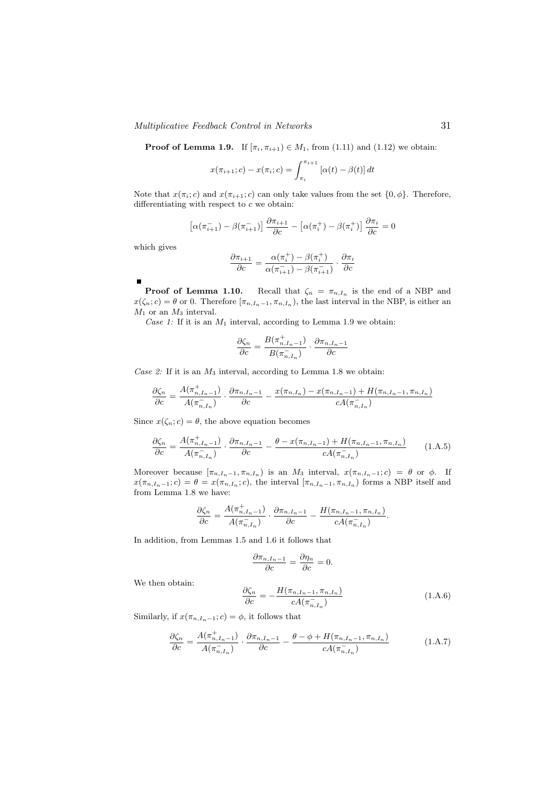Multiplicative Feedback Control in Networks 31

**Proof of Lemma 1.9.** If  $[\pi_i, \pi_{i+1}) \in M_1$ , from (1.11) and (1.12) we obtain:

$$
x(\pi_{i+1}; c) - x(\pi_i; c) = \int_{\pi_i}^{\pi_{i+1}} [\alpha(t) - \beta(t)] dt
$$

Note that  $x(\pi_i; c)$  and  $x(\pi_{i+1}; c)$  can only take values from the set  $\{0, \phi\}$ . Therefore, differentiating with respect to  $c$  we obtain:

$$
\left[\alpha(\pi_{i+1}^-) - \beta(\pi_{i+1}^-)\right] \frac{\partial \pi_{i+1}}{\partial c} - \left[\alpha(\pi_i^+) - \beta(\pi_i^+)\right] \frac{\partial \pi_i}{\partial c} = 0
$$

which gives

$$
\frac{\partial\pi_{i+1}}{\partial c}=\frac{\alpha(\pi_i^+)-\beta(\pi_i^+)}{\alpha(\pi_{i+1}^-)-\beta(\pi_{i+1}^-)}\cdot\frac{\partial\pi_i}{\partial c}
$$

 $\blacksquare$ 

**Proof of Lemma 1.10.** Recall that  $\zeta_n = \pi_{n,I_n}$  is the end of a NBP and  $x(\zeta_n; c) = \theta$  or 0. Therefore  $[\pi_{n,I_n-1}, \pi_{n,I_n})$ , the last interval in the NBP, is either an  $M_1$  or an  $M_3$  interval.

Case 1: If it is an  $M_1$  interval, according to Lemma 1.9 we obtain:

$$
\frac{\partial \zeta_n}{\partial c} = \frac{B(\pi^+_{n,I_n-1})}{B(\pi^-_{n,I_n})} \cdot \frac{\partial \pi_{n,I_n-1}}{\partial c}
$$

Case 2: If it is an  $M_3$  interval, according to Lemma 1.8 we obtain:

$$
\frac{\partial \zeta_n}{\partial c} = \frac{A(\pi^+_{n,I_n-1})}{A(\pi^-_{n,I_n})} \cdot \frac{\partial \pi_{n,I_n-1}}{\partial c} - \frac{x(\pi_{n,I_n}) - x(\pi_{n,I_n-1}) + H(\pi_{n,I_n-1}, \pi_{n,I_n})}{cA(\pi^-_{n,I_n})}
$$

Since  $x(\zeta_n; c) = \theta$ , the above equation becomes

$$
\frac{\partial \zeta_n}{\partial c} = \frac{A(\pi_{n,I_n-1}^+)}{A(\pi_{n,I_n}^-)} \cdot \frac{\partial \pi_{n,I_n-1}}{\partial c} - \frac{\theta - x(\pi_{n,I_n-1}) + H(\pi_{n,I_n-1}, \pi_{n,I_n})}{cA(\pi_{n,I_n}^-)} \tag{1.A.5}
$$

Moreover because  $[\pi_{n,I_n-1}, \pi_{n,I_n})$  is an  $M_3$  interval,  $x(\pi_{n,I_n-1}; c) = \theta$  or  $\phi$ . If  $x(\pi_{n,I_n-1}; c) = \theta = x(\pi_{n,I_n}; c)$ , the interval  $[\pi_{n,I_n-1}, \pi_{n,I_n})$  forms a NBP itself and from Lemma 1.8 we have:

$$
\frac{\partial \zeta_n}{\partial c} = \frac{A(\pi^+_{n,I_n-1})}{A(\pi^-_{n,I_n})} \cdot \frac{\partial \pi_{n,I_n-1}}{\partial c} - \frac{H(\pi_{n,I_n-1},\pi_{n,I_n})}{cA(\pi^-_{n,I_n})}.
$$

In addition, from Lemmas 1.5 and 1.6 it follows that

$$
\frac{\partial \pi_{n,I_n-1}}{\partial c} = \frac{\partial \eta_n}{\partial c} = 0.
$$

We then obtain:

$$
\frac{\partial \zeta_n}{\partial c} = -\frac{H(\pi_{n,I_n-1}, \pi_{n,I_n})}{cA(\pi_{n,I_n}^-)}\tag{1.A.6}
$$

Similarly, if  $x(\pi_{n,I_n-1}; c) = \phi$ , it follows that

$$
\frac{\partial \zeta_n}{\partial c} = \frac{A(\pi^+_{n,I_n-1})}{A(\pi^-_{n,I_n})} \cdot \frac{\partial \pi_{n,I_n-1}}{\partial c} - \frac{\theta - \phi + H(\pi_{n,I_n-1}, \pi_{n,I_n})}{cA(\pi^-_{n,I_n})}
$$
(1.A.7)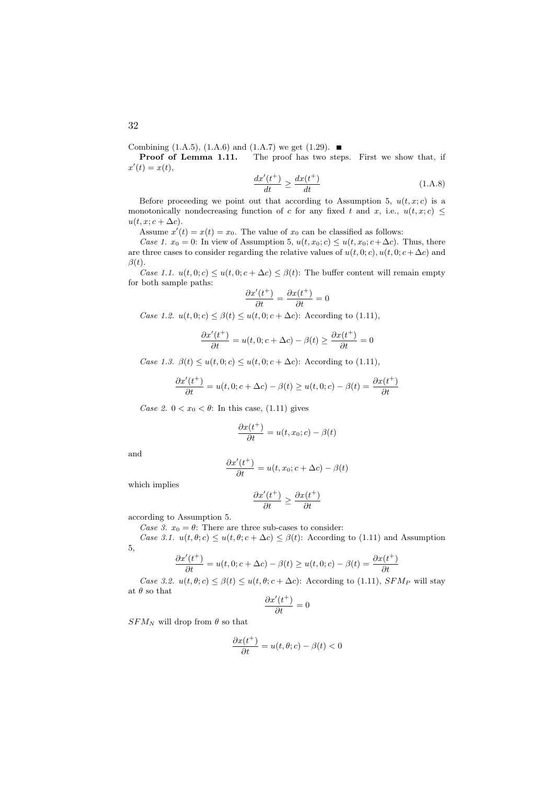Combining (1.A.5), (1.A.6) and (1.A.7) we get (1.29).  $\blacksquare$ 

Proof of Lemma 1.11. The proof has two steps. First we show that, if  $x'(t) = x(t),$ 

$$
\frac{dx'(t^+)}{dt} \ge \frac{dx(t^+)}{dt}
$$
\n(1.A.8)

Before proceeding we point out that according to Assumption 5,  $u(t, x; c)$  is a monotonically nondecreasing function of c for any fixed t and x, i.e.,  $u(t, x; c) \leq$  $u(t, x; c + \Delta c)$ .

Assume  $x'(t) = x(t) = x_0$ . The value of  $x_0$  can be classified as follows:

Case 1.  $x_0 = 0$ : In view of Assumption 5,  $u(t, x_0; c) \leq u(t, x_0; c + \Delta c)$ . Thus, there are three cases to consider regarding the relative values of  $u(t, 0; c)$ ,  $u(t, 0; c + \Delta c)$  and  $\beta(t)$ .

Case 1.1.  $u(t, 0; c) \leq u(t, 0; c + \Delta c) \leq \beta(t)$ : The buffer content will remain empty for both sample paths:

$$
\frac{\partial x'(t^+)}{\partial t} = \frac{\partial x(t^+)}{\partial t} = 0
$$

*Case 1.2.*  $u(t, 0; c) \leq \beta(t) \leq u(t, 0; c + \Delta c)$ : According to (1.11),

$$
\frac{\partial x'(t^+)}{\partial t} = u(t, 0; c + \Delta c) - \beta(t) \ge \frac{\partial x(t^+)}{\partial t} = 0
$$

*Case 1.3.*  $\beta(t) \le u(t, 0; c) \le u(t, 0; c + \Delta c)$ : According to (1.11),

$$
\frac{\partial x'(t^+)}{\partial t} = u(t, 0; c + \Delta c) - \beta(t) \ge u(t, 0; c) - \beta(t) = \frac{\partial x(t^+)}{\partial t}
$$

Case 2.  $0 < x_0 < \theta$ : In this case, (1.11) gives

$$
\frac{\partial x(t^+)}{\partial t} = u(t, x_0; c) - \beta(t)
$$

and

$$
\frac{\partial x'(t^+)}{\partial t} = u(t, x_0; c + \Delta c) - \beta(t)
$$

which implies

$$
\frac{\partial x'(t^+)}{\partial t} \ge \frac{\partial x(t^+)}{\partial t}
$$

according to Assumption 5.

Case 3.  $x_0 = \theta$ : There are three sub-cases to consider:

Case 3.1.  $u(t, \theta; c) \leq u(t, \theta; c + \Delta c) \leq \beta(t)$ : According to (1.11) and Assumption 5,

$$
\frac{\partial x'(t^+)}{\partial t} = u(t, 0; c + \Delta c) - \beta(t) \ge u(t, 0; c) - \beta(t) = \frac{\partial x(t^+)}{\partial t}
$$

Case 3.2.  $u(t, \theta; c) \leq \beta(t) \leq u(t, \theta; c + \Delta c)$ : According to (1.11), SFM<sub>P</sub> will stay at  $\theta$  so that

$$
\frac{\partial x'(t^+)}{\partial t} = 0
$$

 $SFM_N$  will drop from  $\theta$  so that

$$
\frac{\partial x(t^+)}{\partial t}=u(t,\theta;c)-\beta(t)<0
$$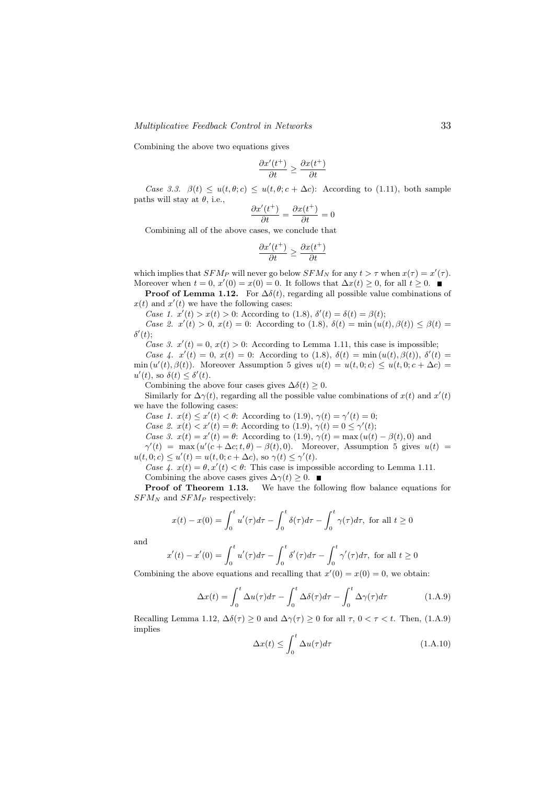Combining the above two equations gives

$$
\frac{\partial x'(t^+)}{\partial t}\geq \frac{\partial x(t^+)}{\partial t}
$$

Case 3.3.  $\beta(t) \leq u(t, \theta; c) \leq u(t, \theta; c + \Delta c)$ : According to (1.11), both sample paths will stay at  $\theta$ , i.e.,

$$
\frac{\partial x'(t^+)}{\partial t} = \frac{\partial x(t^+)}{\partial t} = 0
$$

Combining all of the above cases, we conclude that

$$
\frac{\partial x'(t^+)}{\partial t} \ge \frac{\partial x(t^+)}{\partial t}
$$

which implies that  $SFM_P$  will never go below  $SFM_N$  for any  $t > \tau$  when  $x(\tau) = x'(\tau)$ . Moreover when  $t = 0$ ,  $x'(0) = x(0) = 0$ . It follows that  $\Delta x(t) \geq 0$ , for all  $t \geq 0$ .

**Proof of Lemma 1.12.** For  $\Delta\delta(t)$ , regarding all possible value combinations of  $x(t)$  and  $x'(t)$  we have the following cases:

*Case 1.*  $x'(t) > x(t) > 0$ : According to (1.8),  $\delta'(t) = \delta(t) = \beta(t)$ ;

Case 2.  $x'(t) > 0$ ,  $x(t) = 0$ : According to (1.8),  $\delta(t) = \min(u(t), \beta(t)) \leq \beta(t)$  $\delta'(t);$ 

Case 3.  $x'(t) = 0$ ,  $x(t) > 0$ : According to Lemma 1.11, this case is impossible;

Case 4.  $x'(t) = 0$ ,  $x(t) = 0$ : According to (1.8),  $\delta(t) = \min(u(t), \beta(t))$ ,  $\delta'(t) =$ min  $(u'(t), \beta(t))$ . Moreover Assumption 5 gives  $u(t) = u(t, 0; c) \leq u(t, 0; c + \Delta c)$  $u'(t)$ , so  $\delta(t) \leq \delta'(t)$ .

Combining the above four cases gives  $\Delta \delta(t) \geq 0$ .

Similarly for  $\Delta \gamma(t)$ , regarding all the possible value combinations of  $x(t)$  and  $x'(t)$ we have the following cases:

Case 1.  $x(t) \leq x'(t) < \theta$ : According to (1.9),  $\gamma(t) = \gamma'(t) = 0$ ;

Case 2.  $x(t) < x'(t) = \theta$ : According to (1.9),  $\gamma(t) = 0 \leq \gamma'(t)$ ;

Case 3.  $x(t) = x'(t) = \theta$ : According to (1.9),  $\gamma(t) = \max(u(t) - \beta(t), 0)$  and

 $\gamma'(t) = \max(u'(c + \Delta c; t, \theta) - \beta(t), 0)$ . Moreover, Assumption 5 gives  $u(t) =$  $u(t,0;c) \leq u'(t) = u(t,0;c+\Delta c)$ , so  $\gamma(t) \leq \gamma'(t)$ .

Case 4.  $x(t) = \theta, x'(t) < \theta$ : This case is impossible according to Lemma 1.11.

Combining the above cases gives  $\Delta \gamma(t) \geq 0$ .

Proof of Theorem 1.13. We have the following flow balance equations for  $SFM_N$  and  $SFM_P$  respectively:

$$
x(t) - x(0) = \int_0^t u'(\tau)d\tau - \int_0^t \delta(\tau)d\tau - \int_0^t \gamma(\tau)d\tau, \text{ for all } t \ge 0
$$

and

$$
x'(t) - x'(0) = \int_0^t u'(\tau) d\tau - \int_0^t \delta'(\tau) d\tau - \int_0^t \gamma'(\tau) d\tau
$$
, for all  $t \ge 0$ 

Combining the above equations and recalling that  $x'(0) = x(0) = 0$ , we obtain:

$$
\Delta x(t) = \int_0^t \Delta u(\tau) d\tau - \int_0^t \Delta \delta(\tau) d\tau - \int_0^t \Delta \gamma(\tau) d\tau \tag{1.A.9}
$$

Recalling Lemma 1.12,  $\Delta\delta(\tau) \geq 0$  and  $\Delta\gamma(\tau) \geq 0$  for all  $\tau$ ,  $0 < \tau < t$ . Then, (1.A.9) implies  $\overline{t}$ 

$$
\Delta x(t) \le \int_0^t \Delta u(\tau) d\tau \tag{1.A.10}
$$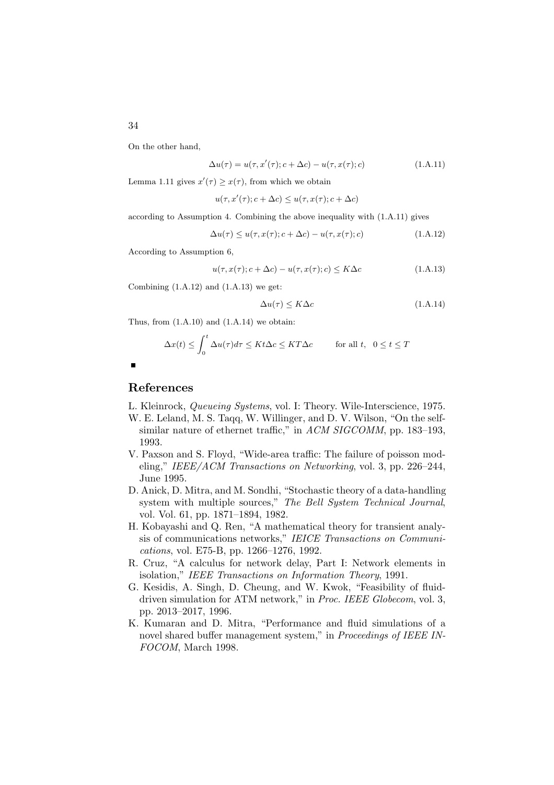On the other hand,

$$
\Delta u(\tau) = u(\tau, x'(\tau); c + \Delta c) - u(\tau, x(\tau); c)
$$
\n(1.A.11)

Lemma 1.11 gives  $x'(\tau) \geq x(\tau)$ , from which we obtain

$$
u(\tau, x'(\tau); c + \Delta c) \le u(\tau, x(\tau); c + \Delta c)
$$

according to Assumption 4. Combining the above inequality with (1.A.11) gives

$$
\Delta u(\tau) \le u(\tau, x(\tau); c + \Delta c) - u(\tau, x(\tau); c)
$$
\n(1.A.12)

According to Assumption 6,

$$
u(\tau, x(\tau); c + \Delta c) - u(\tau, x(\tau); c) \le K\Delta c \tag{1.A.13}
$$

Combining  $(1.A.12)$  and  $(1.A.13)$  we get:

$$
\Delta u(\tau) \le K \Delta c \tag{1.A.14}
$$

Thus, from (1.A.10) and (1.A.14) we obtain:

$$
\Delta x(t) \le \int_0^t \Delta u(\tau) d\tau \le Kt \Delta c \le KT \Delta c \qquad \text{for all } t, \ \ 0 \le t \le T
$$

$$
\blacksquare
$$

# References

- L. Kleinrock, Queueing Systems, vol. I: Theory. Wile-Interscience, 1975.
- W. E. Leland, M. S. Taqq, W. Willinger, and D. V. Wilson, "On the selfsimilar nature of ethernet traffic," in ACM SIGCOMM, pp. 183-193, 1993.
- V. Paxson and S. Floyd, "Wide-area traffic: The failure of poisson modeling," IEEE/ACM Transactions on Networking, vol. 3, pp. 226–244, June 1995.
- D. Anick, D. Mitra, and M. Sondhi, "Stochastic theory of a data-handling system with multiple sources," The Bell System Technical Journal, vol. Vol. 61, pp. 1871–1894, 1982.
- H. Kobayashi and Q. Ren, "A mathematical theory for transient analysis of communications networks," IEICE Transactions on Communications, vol. E75-B, pp. 1266–1276, 1992.
- R. Cruz, "A calculus for network delay, Part I: Network elements in isolation," IEEE Transactions on Information Theory, 1991.
- G. Kesidis, A. Singh, D. Cheung, and W. Kwok, "Feasibility of fluiddriven simulation for ATM network," in *Proc. IEEE Globecom*, vol. 3, pp. 2013–2017, 1996.
- K. Kumaran and D. Mitra, "Performance and fluid simulations of a novel shared buffer management system," in *Proceedings of IEEE IN*-FOCOM, March 1998.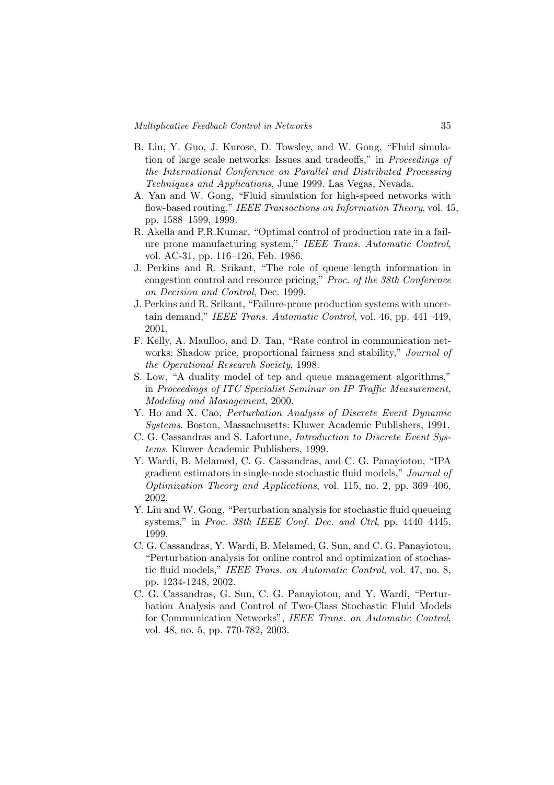- B. Liu, Y. Guo, J. Kurose, D. Towsley, and W. Gong, "Fluid simulation of large scale networks: Issues and tradeoffs," in Proceedings of the International Conference on Parallel and Distributed Processing Techniques and Applications, June 1999. Las Vegas, Nevada.
- A. Yan and W. Gong, "Fluid simulation for high-speed networks with flow-based routing," IEEE Transactions on Information Theory, vol. 45, pp. 1588–1599, 1999.
- R. Akella and P.R.Kumar, "Optimal control of production rate in a failure prone manufacturing system," IEEE Trans. Automatic Control, vol. AC-31, pp. 116–126, Feb. 1986.
- J. Perkins and R. Srikant, "The role of queue length information in congestion control and resource pricing," Proc. of the 38th Conference on Decision and Control, Dec. 1999.
- J. Perkins and R. Srikant, "Failure-prone production systems with uncertain demand," IEEE Trans. Automatic Control, vol. 46, pp. 441–449, 2001.
- F. Kelly, A. Maulloo, and D. Tan, "Rate control in communication networks: Shadow price, proportional fairness and stability," *Journal of* the Operational Research Society, 1998.
- S. Low, "A duality model of tcp and queue management algorithms," in Proceedings of ITC Specialist Seminar on IP Traffic Measurement, Modeling and Management, 2000.
- Y. Ho and X. Cao, Perturbation Analysis of Discrete Event Dynamic Systems. Boston, Massachusetts: Kluwer Academic Publishers, 1991.
- C. G. Cassandras and S. Lafortune, Introduction to Discrete Event Systems. Kluwer Academic Publishers, 1999.
- Y. Wardi, B. Melamed, C. G. Cassandras, and C. G. Panayiotou, "IPA gradient estimators in single-node stochastic fluid models," Journal of Optimization Theory and Applications, vol. 115, no. 2, pp. 369–406, 2002.
- Y. Liu and W. Gong, "Perturbation analysis for stochastic fluid queueing systems," in Proc. 38th IEEE Conf. Dec. and Ctrl, pp. 4440–4445, 1999.
- C. G. Cassandras, Y. Wardi, B. Melamed, G. Sun, and C. G. Panayiotou, "Perturbation analysis for online control and optimization of stochastic fluid models," IEEE Trans. on Automatic Control, vol. 47, no. 8, pp. 1234-1248, 2002.
- C. G. Cassandras, G. Sun, C. G. Panayiotou, and Y. Wardi, "Perturbation Analysis and Control of Two-Class Stochastic Fluid Models for Communication Networks", IEEE Trans. on Automatic Control, vol. 48, no. 5, pp. 770-782, 2003.